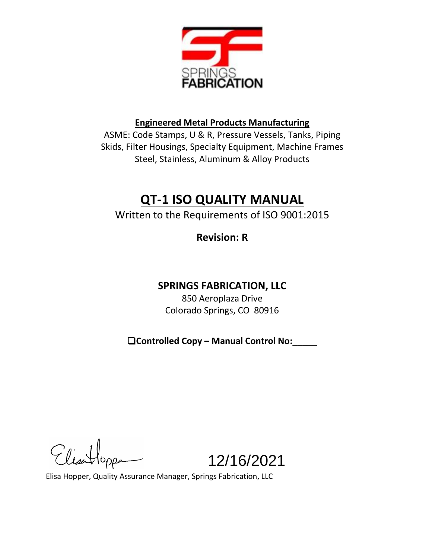

# **Engineered Metal Products Manufacturing**

ASME: Code Stamps, U & R, Pressure Vessels, Tanks, Piping Skids, Filter Housings, Specialty Equipment, Machine Frames Steel, Stainless, Aluminum & Alloy Products

# **QT-1 ISO QUALITY MANUAL**

Written to the Requirements of ISO 9001:2015

**Revision: R**

# **SPRINGS FABRICATION, LLC**

850 Aeroplaza Drive Colorado Springs, CO 80916

❑**Controlled Copy – Manual Control No:\_\_\_\_\_**

 $G$ 

12/16/2021

Elisa Hopper, Quality Assurance Manager, Springs Fabrication, LLC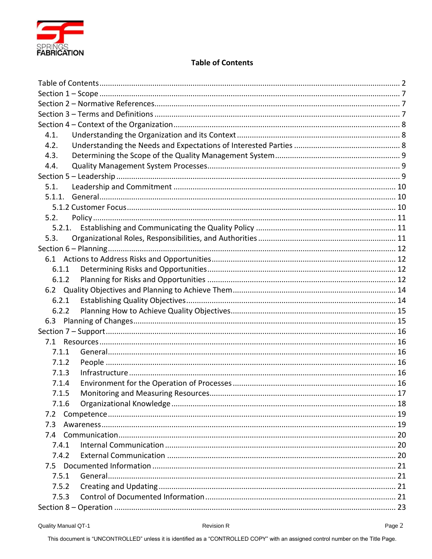

# **Table of Contents**

<span id="page-1-0"></span>

| 4.1.   |  |
|--------|--|
| 4.2.   |  |
| 4.3.   |  |
| 4.4.   |  |
|        |  |
| 5.1.   |  |
|        |  |
|        |  |
| 5.2.   |  |
| 5.2.1. |  |
| 5.3.   |  |
|        |  |
|        |  |
| 6.1.1  |  |
| 6.1.2  |  |
|        |  |
| 6.2.1  |  |
| 6.2.2  |  |
|        |  |
|        |  |
|        |  |
| 7.1.1  |  |
| 7.1.2  |  |
| 7.1.3  |  |
| 7.1.4  |  |
| 7.1.5  |  |
| 7.1.6  |  |
| 7.2    |  |
| 7.3    |  |
|        |  |
| 7.4.1  |  |
| 7.4.2  |  |
|        |  |
| 7.5.1  |  |
| 7.5.2  |  |
| 7.5.3  |  |
|        |  |

This document is "UNCONTROLLED" unless it is identified as a "CONTROLLED COPY" with an assigned control number on the Title Page.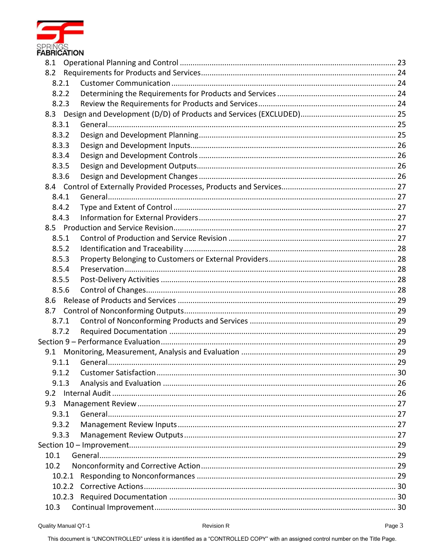

| 8.1   |       |                       |    |
|-------|-------|-----------------------|----|
|       |       |                       |    |
| 8.2.1 |       |                       |    |
| 8.2.2 |       |                       |    |
| 8.2.3 |       |                       |    |
|       |       |                       |    |
| 8.3.1 |       |                       |    |
| 8.3.2 |       |                       |    |
| 8.3.3 |       |                       |    |
| 8.3.4 |       |                       |    |
| 8.3.5 |       |                       |    |
| 8.3.6 |       |                       |    |
|       |       |                       |    |
| 8.4.1 |       |                       |    |
| 8.4.2 |       |                       |    |
| 8.4.3 |       |                       |    |
|       |       |                       |    |
| 8.5.1 |       |                       |    |
| 8.5.2 |       |                       |    |
| 8.5.3 |       |                       |    |
| 8.5.4 |       |                       |    |
| 8.5.5 |       |                       |    |
| 8.5.6 |       |                       |    |
|       |       |                       |    |
|       |       |                       |    |
| 8.7.1 |       |                       |    |
| 8.7.2 |       |                       |    |
|       |       |                       |    |
|       |       |                       |    |
| 9.1.1 |       |                       |    |
|       | 9.1.2 | Customer Satisfaction | 30 |
| 9.1.3 |       |                       |    |
| 9.2   |       |                       |    |
| 9.3   |       |                       |    |
| 9.3.1 |       |                       |    |
| 9.3.2 |       |                       |    |
| 9.3.3 |       |                       |    |
|       |       |                       |    |
| 10.1  |       |                       |    |
| 10.2  |       |                       |    |
|       |       |                       |    |
|       |       |                       |    |
|       |       |                       |    |
| 10.3  |       |                       |    |

This document is "UNCONTROLLED" unless it is identified as a "CONTROLLED COPY" with an assigned control number on the Title Page.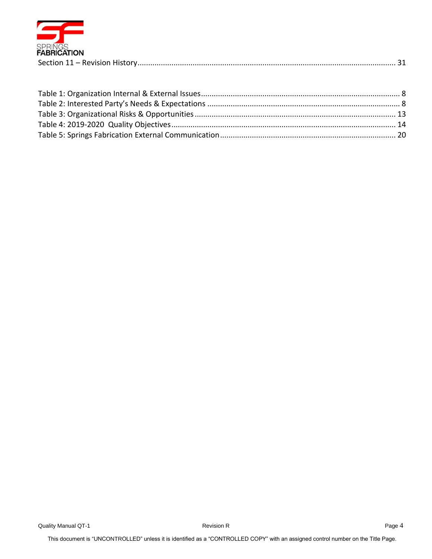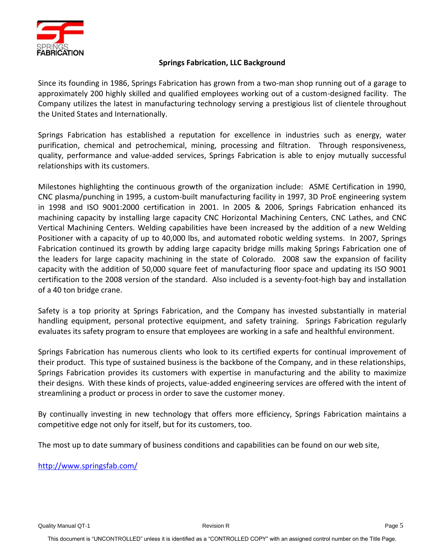

# **Springs Fabrication, LLC Background**

Since its founding in 1986, Springs Fabrication has grown from a two-man shop running out of a garage to approximately 200 highly skilled and qualified employees working out of a custom-designed facility. The Company utilizes the latest in manufacturing technology serving a prestigious list of clientele throughout the United States and Internationally.

Springs Fabrication has established a reputation for excellence in industries such as energy, water purification, chemical and petrochemical, mining, processing and filtration. Through responsiveness, quality, performance and value-added services, Springs Fabrication is able to enjoy mutually successful relationships with its customers.

Milestones highlighting the continuous growth of the organization include: ASME Certification in 1990, CNC plasma/punching in 1995, a custom-built manufacturing facility in 1997, 3D ProE engineering system in 1998 and ISO 9001:2000 certification in 2001. In 2005 & 2006, Springs Fabrication enhanced its machining capacity by installing large capacity CNC Horizontal Machining Centers, CNC Lathes, and CNC Vertical Machining Centers. Welding capabilities have been increased by the addition of a new Welding Positioner with a capacity of up to 40,000 lbs, and automated robotic welding systems. In 2007, Springs Fabrication continued its growth by adding large capacity bridge mills making Springs Fabrication one of the leaders for large capacity machining in the state of Colorado. 2008 saw the expansion of facility capacity with the addition of 50,000 square feet of manufacturing floor space and updating its ISO 9001 certification to the 2008 version of the standard. Also included is a seventy-foot-high bay and installation of a 40 ton bridge crane.

Safety is a top priority at Springs Fabrication, and the Company has invested substantially in material handling equipment, personal protective equipment, and safety training. Springs Fabrication regularly evaluates its safety program to ensure that employees are working in a safe and healthful environment.

Springs Fabrication has numerous clients who look to its certified experts for continual improvement of their product. This type of sustained business is the backbone of the Company, and in these relationships, Springs Fabrication provides its customers with expertise in manufacturing and the ability to maximize their designs. With these kinds of projects, value-added engineering services are offered with the intent of streamlining a product or process in order to save the customer money.

By continually investing in new technology that offers more efficiency, Springs Fabrication maintains a competitive edge not only for itself, but for its customers, too.

The most up to date summary of business conditions and capabilities can be found on our web site,

<http://www.springsfab.com/>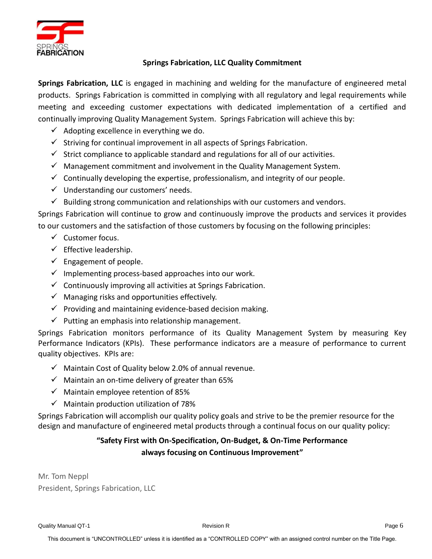

# **Springs Fabrication, LLC Quality Commitment**

**Springs Fabrication, LLC** is engaged in machining and welding for the manufacture of engineered metal products. Springs Fabrication is committed in complying with all regulatory and legal requirements while meeting and exceeding customer expectations with dedicated implementation of a certified and continually improving Quality Management System. Springs Fabrication will achieve this by:

- $\checkmark$  Adopting excellence in everything we do.
- $\checkmark$  Striving for continual improvement in all aspects of Springs Fabrication.
- $\checkmark$  Strict compliance to applicable standard and regulations for all of our activities.
- $\checkmark$  Management commitment and involvement in the Quality Management System.
- $\checkmark$  Continually developing the expertise, professionalism, and integrity of our people.
- $\checkmark$  Understanding our customers' needs.
- $\checkmark$  Building strong communication and relationships with our customers and vendors.

Springs Fabrication will continue to grow and continuously improve the products and services it provides to our customers and the satisfaction of those customers by focusing on the following principles:

- ✓ Customer focus.
- $\checkmark$  Effective leadership.
- $\checkmark$  Engagement of people.
- $\checkmark$  Implementing process-based approaches into our work.
- $\checkmark$  Continuously improving all activities at Springs Fabrication.
- $\checkmark$  Managing risks and opportunities effectively.
- $\checkmark$  Providing and maintaining evidence-based decision making.
- $\checkmark$  Putting an emphasis into relationship management.

Springs Fabrication monitors performance of its Quality Management System by measuring Key Performance Indicators (KPIs). These performance indicators are a measure of performance to current quality objectives. KPIs are:

- $\checkmark$  Maintain Cost of Quality below 2.0% of annual revenue.
- $\checkmark$  Maintain an on-time delivery of greater than 65%
- $\checkmark$  Maintain employee retention of 85%
- $\checkmark$  Maintain production utilization of 78%

Springs Fabrication will accomplish our quality policy goals and strive to be the premier resource for the design and manufacture of engineered metal products through a continual focus on our quality policy:

# **"Safety First with On-Specification, On-Budget, & On-Time Performance always focusing on Continuous Improvement"**

Mr. Tom Neppl President, Springs Fabrication, LLC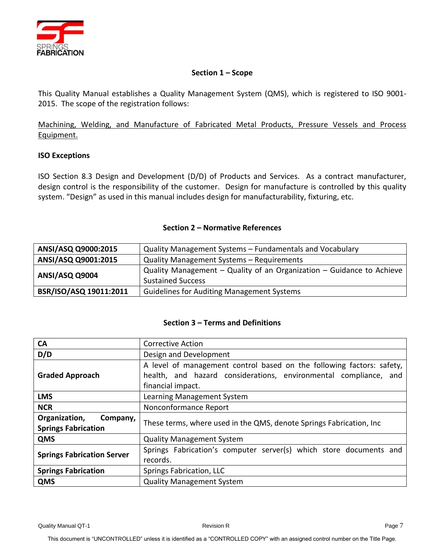

## **Section 1 – Scope**

<span id="page-6-0"></span>This Quality Manual establishes a Quality Management System (QMS), which is registered to ISO 9001- 2015. The scope of the registration follows:

Machining, Welding, and Manufacture of Fabricated Metal Products, Pressure Vessels and Process Equipment.

# **ISO Exceptions**

ISO Section 8.3 Design and Development (D/D) of Products and Services. As a contract manufacturer, design control is the responsibility of the customer. Design for manufacture is controlled by this quality system. "Design" as used in this manual includes design for manufacturability, fixturing, etc.

#### **Section 2 – Normative References**

<span id="page-6-1"></span>

| ANSI/ASQ Q9000:2015    | Quality Management Systems - Fundamentals and Vocabulary                                          |  |
|------------------------|---------------------------------------------------------------------------------------------------|--|
| ANSI/ASQ Q9001:2015    | Quality Management Systems - Requirements                                                         |  |
| ANSI/ASQ Q9004         | Quality Management - Quality of an Organization - Guidance to Achieve<br><b>Sustained Success</b> |  |
| BSR/ISO/ASQ 19011:2011 | <b>Guidelines for Auditing Management Systems</b>                                                 |  |

#### **Section 3 – Terms and Definitions**

<span id="page-6-2"></span>

| <b>CA</b>                                               | <b>Corrective Action</b>                                                                                                                                       |  |
|---------------------------------------------------------|----------------------------------------------------------------------------------------------------------------------------------------------------------------|--|
| D/D                                                     | Design and Development                                                                                                                                         |  |
| <b>Graded Approach</b>                                  | A level of management control based on the following factors: safety,<br>health, and hazard considerations, environmental compliance, and<br>financial impact. |  |
| <b>LMS</b>                                              | Learning Management System                                                                                                                                     |  |
| <b>NCR</b>                                              | Nonconformance Report                                                                                                                                          |  |
| Organization,<br>Company,<br><b>Springs Fabrication</b> | These terms, where used in the QMS, denote Springs Fabrication, Inc                                                                                            |  |
| QMS                                                     | <b>Quality Management System</b>                                                                                                                               |  |
| <b>Springs Fabrication Server</b>                       | Springs Fabrication's computer server(s) which store documents and<br>records.                                                                                 |  |
| <b>Springs Fabrication</b>                              | Springs Fabrication, LLC                                                                                                                                       |  |
| <b>QMS</b>                                              | <b>Quality Management System</b>                                                                                                                               |  |

Quality Manual QT-1 **Page 7** Revision R Revision R Revision R Revision R Revision R Revision R Revision R Revision R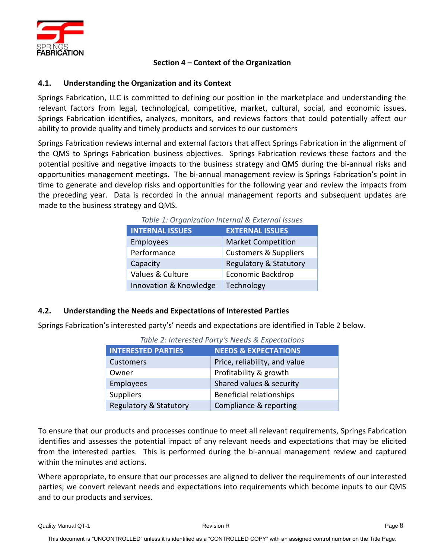

# **Section 4 – Context of the Organization**

# <span id="page-7-1"></span><span id="page-7-0"></span>**4.1. Understanding the Organization and its Context**

Springs Fabrication, LLC is committed to defining our position in the marketplace and understanding the relevant factors from legal, technological, competitive, market, cultural, social, and economic issues. Springs Fabrication identifies, analyzes, monitors, and reviews factors that could potentially affect our ability to provide quality and timely products and services to our customers

<span id="page-7-3"></span>Springs Fabrication reviews internal and external factors that affect Springs Fabrication in the alignment of the QMS to Springs Fabrication business objectives. Springs Fabrication reviews these factors and the potential positive and negative impacts to the business strategy and QMS during the bi-annual risks and opportunities management meetings. The bi-annual management review is Springs Fabrication's point in time to generate and develop risks and opportunities for the following year and review the impacts from the preceding year. Data is recorded in the annual management reports and subsequent updates are made to the business strategy and QMS.

| Table 1: Organization internal & External issues |                                   |  |
|--------------------------------------------------|-----------------------------------|--|
| <b>INTERNAL ISSUES</b>                           | <b>EXTERNAL ISSUES</b>            |  |
| Employees                                        | <b>Market Competition</b>         |  |
| Performance                                      | <b>Customers &amp; Suppliers</b>  |  |
| Capacity                                         | <b>Regulatory &amp; Statutory</b> |  |
| Values & Culture                                 | <b>Economic Backdrop</b>          |  |
| Innovation & Knowledge                           | Technology                        |  |

*Table 1: Organization Internal & External Issues*

# <span id="page-7-2"></span>**4.2. Understanding the Needs and Expectations of Interested Parties**

<span id="page-7-4"></span>Springs Fabrication's interested party's' needs and expectations are identified in Table 2 below.

| TUDIC 2. THEFESTED FUILY STREEUS & LADECIUMUIS |                                 |  |
|------------------------------------------------|---------------------------------|--|
| <b>INTERESTED PARTIES</b>                      | <b>NEEDS &amp; EXPECTATIONS</b> |  |
| <b>Customers</b>                               | Price, reliability, and value   |  |
| Owner                                          | Profitability & growth          |  |
| Employees                                      | Shared values & security        |  |
| <b>Suppliers</b>                               | <b>Beneficial relationships</b> |  |
| Regulatory & Statutory                         | Compliance & reporting          |  |

*Table 2: Interested Party's Needs & Expectations*

To ensure that our products and processes continue to meet all relevant requirements, Springs Fabrication identifies and assesses the potential impact of any relevant needs and expectations that may be elicited from the interested parties. This is performed during the bi-annual management review and captured within the minutes and actions.

Where appropriate, to ensure that our processes are aligned to deliver the requirements of our interested parties; we convert relevant needs and expectations into requirements which become inputs to our QMS and to our products and services.

Quality Manual QT-1 **Page 8** Revision R **Revision R Revision R Page 8 Page 8**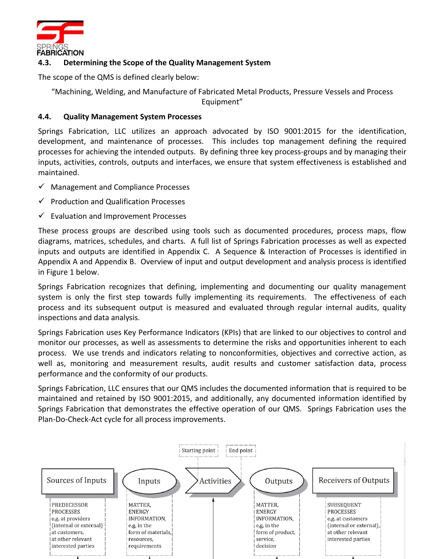

# <span id="page-8-0"></span>**4.3. Determining the Scope of the Quality Management System**

The scope of the QMS is defined clearly below:

"Machining, Welding, and Manufacture of Fabricated Metal Products, Pressure Vessels and Process

Equipment"

# <span id="page-8-1"></span>**4.4. Quality Management System Processes**

Springs Fabrication, LLC utilizes an approach advocated by ISO 9001:2015 for the identification, development, and maintenance of processes. This includes top management defining the required processes for achieving the intended outputs. By defining three key process-groups and by managing their inputs, activities, controls, outputs and interfaces, we ensure that system effectiveness is established and maintained.

- ✓ Management and Compliance Processes
- ✓ Production and Qualification Processes
- $\checkmark$  Evaluation and Improvement Processes

These process groups are described using tools such as documented procedures, process maps, flow diagrams, matrices, schedules, and charts. A full list of Springs Fabrication processes as well as expected inputs and outputs are identified in Appendix C. A Sequence & Interaction of Processes is identified in Appendix A and Appendix B. Overview of input and output development and analysis process is identified in Figure 1 below.

Springs Fabrication recognizes that defining, implementing and documenting our quality management system is only the first step towards fully implementing its requirements. The effectiveness of each process and its subsequent output is measured and evaluated through regular internal audits, quality inspections and data analysis.

Springs Fabrication uses Key Performance Indicators (KPIs) that are linked to our objectives to control and monitor our processes, as well as assessments to determine the risks and opportunities inherent to each process. We use trends and indicators relating to nonconformities, objectives and corrective action, as well as, monitoring and measurement results, audit results and customer satisfaction data, process performance and the conformity of our products.

Springs Fabrication, LLC ensures that our QMS includes the documented information that is required to be maintained and retained by ISO 9001:2015, and additionally, any documented information identified by Springs Fabrication that demonstrates the effective operation of our QMS. Springs Fabrication uses the Plan-Do-Check-Act cycle for all process improvements.

<span id="page-8-2"></span>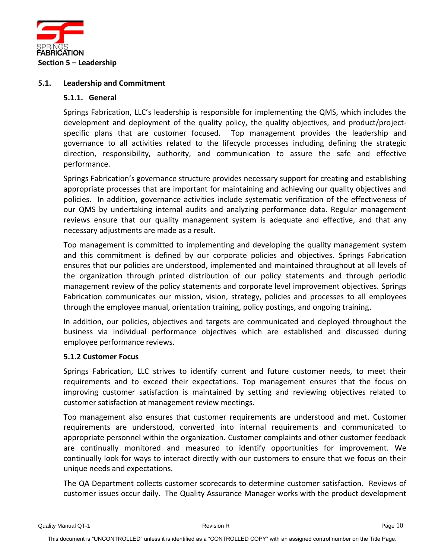

#### <span id="page-9-1"></span><span id="page-9-0"></span>**5.1. Leadership and Commitment**

#### **5.1.1. General**

Springs Fabrication, LLC's leadership is responsible for implementing the QMS, which includes the development and deployment of the quality policy, the quality objectives, and product/projectspecific plans that are customer focused. Top management provides the leadership and governance to all activities related to the lifecycle processes including defining the strategic direction, responsibility, authority, and communication to assure the safe and effective performance.

Springs Fabrication's governance structure provides necessary support for creating and establishing appropriate processes that are important for maintaining and achieving our quality objectives and policies. In addition, governance activities include systematic verification of the effectiveness of our QMS by undertaking internal audits and analyzing performance data. Regular management reviews ensure that our quality management system is adequate and effective, and that any necessary adjustments are made as a result.

Top management is committed to implementing and developing the quality management system and this commitment is defined by our corporate policies and objectives. Springs Fabrication ensures that our policies are understood, implemented and maintained throughout at all levels of the organization through printed distribution of our policy statements and through periodic management review of the policy statements and corporate level improvement objectives. Springs Fabrication communicates our mission, vision, strategy, policies and processes to all employees through the employee manual, orientation training, policy postings, and ongoing training.

In addition, our policies, objectives and targets are communicated and deployed throughout the business via individual performance objectives which are established and discussed during employee performance reviews.

#### <span id="page-9-2"></span>**5.1.2 Customer Focus**

Springs Fabrication, LLC strives to identify current and future customer needs, to meet their requirements and to exceed their expectations. Top management ensures that the focus on improving customer satisfaction is maintained by setting and reviewing objectives related to customer satisfaction at management review meetings.

Top management also ensures that customer requirements are understood and met. Customer requirements are understood, converted into internal requirements and communicated to appropriate personnel within the organization. Customer complaints and other customer feedback are continually monitored and measured to identify opportunities for improvement. We continually look for ways to interact directly with our customers to ensure that we focus on their unique needs and expectations.

The QA Department collects customer scorecards to determine customer satisfaction. Reviews of customer issues occur daily. The Quality Assurance Manager works with the product development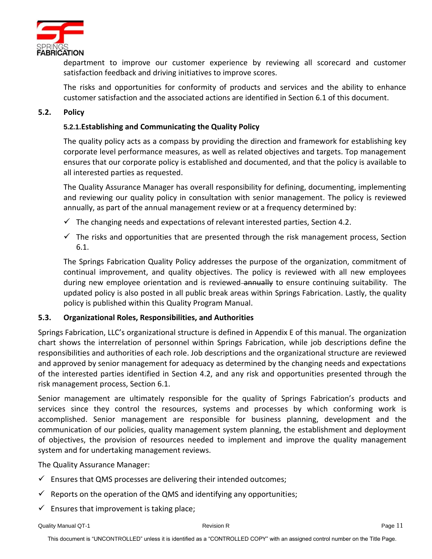

department to improve our customer experience by reviewing all scorecard and customer satisfaction feedback and driving initiatives to improve scores.

The risks and opportunities for conformity of products and services and the ability to enhance customer satisfaction and the associated actions are identified in Section 6.1 of this document.

# <span id="page-10-1"></span><span id="page-10-0"></span>**5.2. Policy**

# **5.2.1.Establishing and Communicating the Quality Policy**

The quality policy acts as a compass by providing the direction and framework for establishing key corporate level performance measures, as well as related objectives and targets. Top management ensures that our corporate policy is established and documented, and that the policy is available to all interested parties as requested.

The Quality Assurance Manager has overall responsibility for defining, documenting, implementing and reviewing our quality policy in consultation with senior management. The policy is reviewed annually, as part of the annual management review or at a frequency determined by:

- $\checkmark$  The changing needs and expectations of relevant interested parties, Section 4.2.
- $\checkmark$  The risks and opportunities that are presented through the risk management process, Section 6.1.

The Springs Fabrication Quality Policy addresses the purpose of the organization, commitment of continual improvement, and quality objectives. The policy is reviewed with all new employees during new employee orientation and is reviewed–annually to ensure continuing suitability. The updated policy is also posted in all public break areas within Springs Fabrication. Lastly, the quality policy is published within this Quality Program Manual.

# <span id="page-10-2"></span>**5.3. Organizational Roles, Responsibilities, and Authorities**

Springs Fabrication, LLC's organizational structure is defined in Appendix E of this manual. The organization chart shows the interrelation of personnel within Springs Fabrication, while job descriptions define the responsibilities and authorities of each role. Job descriptions and the organizational structure are reviewed and approved by senior management for adequacy as determined by the changing needs and expectations of the interested parties identified in Section 4.2, and any risk and opportunities presented through the risk management process, Section 6.1.

Senior management are ultimately responsible for the quality of Springs Fabrication's products and services since they control the resources, systems and processes by which conforming work is accomplished. Senior management are responsible for business planning, development and the communication of our policies, quality management system planning, the establishment and deployment of objectives, the provision of resources needed to implement and improve the quality management system and for undertaking management reviews.

The Quality Assurance Manager:

- $\checkmark$  Ensures that QMS processes are delivering their intended outcomes;
- $\checkmark$  Reports on the operation of the QMS and identifying any opportunities;
- $\checkmark$  Ensures that improvement is taking place;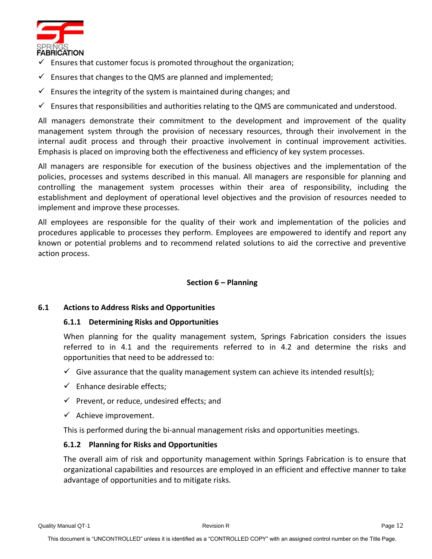

- $\checkmark$  Ensures that customer focus is promoted throughout the organization;
- $\checkmark$  Ensures that changes to the QMS are planned and implemented;
- $\checkmark$  Ensures the integrity of the system is maintained during changes; and
- $\checkmark$  Ensures that responsibilities and authorities relating to the QMS are communicated and understood.

All managers demonstrate their commitment to the development and improvement of the quality management system through the provision of necessary resources, through their involvement in the internal audit process and through their proactive involvement in continual improvement activities. Emphasis is placed on improving both the effectiveness and efficiency of key system processes.

All managers are responsible for execution of the business objectives and the implementation of the policies, processes and systems described in this manual. All managers are responsible for planning and controlling the management system processes within their area of responsibility, including the establishment and deployment of operational level objectives and the provision of resources needed to implement and improve these processes.

All employees are responsible for the quality of their work and implementation of the policies and procedures applicable to processes they perform. Employees are empowered to identify and report any known or potential problems and to recommend related solutions to aid the corrective and preventive action process.

# **Section 6 – Planning**

#### <span id="page-11-2"></span><span id="page-11-1"></span><span id="page-11-0"></span>**6.1 Actions to Address Risks and Opportunities**

#### **6.1.1 Determining Risks and Opportunities**

When planning for the quality management system, Springs Fabrication considers the issues referred to in 4.1 and the requirements referred to in 4.2 and determine the risks and opportunities that need to be addressed to:

- $\checkmark$  Give assurance that the quality management system can achieve its intended result(s);
- $\checkmark$  Enhance desirable effects:
- $\checkmark$  Prevent, or reduce, undesired effects; and
- $\checkmark$  Achieve improvement.

This is performed during the bi-annual management risks and opportunities meetings.

# <span id="page-11-3"></span>**6.1.2 Planning for Risks and Opportunities**

The overall aim of risk and opportunity management within Springs Fabrication is to ensure that organizational capabilities and resources are employed in an efficient and effective manner to take advantage of opportunities and to mitigate risks.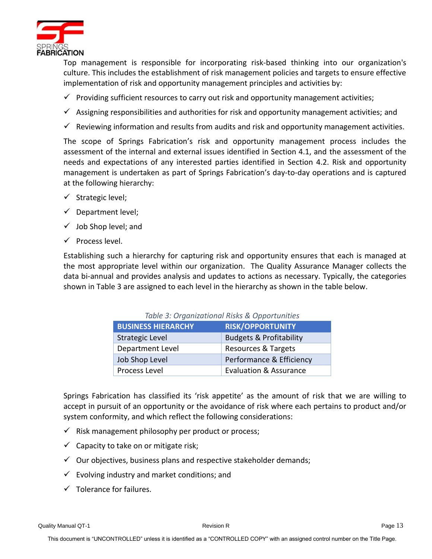

Top management is responsible for incorporating risk-based thinking into our organization's culture. This includes the establishment of risk management policies and targets to ensure effective implementation of risk and opportunity management principles and activities by:

- $\checkmark$  Providing sufficient resources to carry out risk and opportunity management activities;
- $\checkmark$  Assigning responsibilities and authorities for risk and opportunity management activities; and
- $\checkmark$  Reviewing information and results from audits and risk and opportunity management activities.

The scope of Springs Fabrication's risk and opportunity management process includes the assessment of the internal and external issues identified in Section 4.1, and the assessment of the needs and expectations of any interested parties identified in Section 4.2. Risk and opportunity management is undertaken as part of Springs Fabrication's day-to-day operations and is captured at the following hierarchy:

- ✓ Strategic level;
- $\checkmark$  Department level;
- $\checkmark$  Job Shop level; and
- $\checkmark$  Process level.

<span id="page-12-0"></span>Establishing such a hierarchy for capturing risk and opportunity ensures that each is managed at the most appropriate level within our organization. The Quality Assurance Manager collects the data bi-annual and provides analysis and updates to actions as necessary. Typically, the categories shown in Table 3 are assigned to each level in the hierarchy as shown in the table below.

| Table 3: Organizational Risks & Opportunities |                                    |  |
|-----------------------------------------------|------------------------------------|--|
| <b>BUSINESS HIERARCHY</b>                     | <b>RISK/OPPORTUNITY</b>            |  |
| <b>Strategic Level</b>                        | <b>Budgets &amp; Profitability</b> |  |
| Department Level                              | Resources & Targets                |  |
| Job Shop Level                                | Performance & Efficiency           |  |
| Process Level                                 | <b>Evaluation &amp; Assurance</b>  |  |

Springs Fabrication has classified its 'risk appetite' as the amount of risk that we are willing to accept in pursuit of an opportunity or the avoidance of risk where each pertains to product and/or system conformity, and which reflect the following considerations:

- $\checkmark$  Risk management philosophy per product or process;
- $\checkmark$  Capacity to take on or mitigate risk;
- $\checkmark$  Our objectives, business plans and respective stakeholder demands;
- $\checkmark$  Evolving industry and market conditions; and
- $\checkmark$  Tolerance for failures.

Quality Manual QT-1 **Page 13** Revision R Page 13 Revision R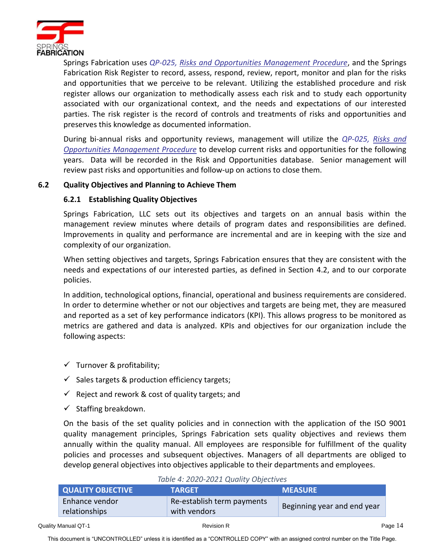

Springs Fabrication uses *QP-025, Risks and Opportunities Management Procedure*, and the Springs Fabrication Risk Register to record, assess, respond, review, report, monitor and plan for the risks and opportunities that we perceive to be relevant. Utilizing the established procedure and risk register allows our organization to methodically assess each risk and to study each opportunity associated with our organizational context, and the needs and expectations of our interested parties. The risk register is the record of controls and treatments of risks and opportunities and preserves this knowledge as documented information.

During bi-annual risks and opportunity reviews, management will utilize the *QP-025, Risks and Opportunities Management Procedure* to develop current risks and opportunities for the following years. Data will be recorded in the Risk and Opportunities database. Senior management will review past risks and opportunities and follow-up on actions to close them.

# <span id="page-13-1"></span><span id="page-13-0"></span>**6.2 Quality Objectives and Planning to Achieve Them**

# **6.2.1 Establishing Quality Objectives**

Springs Fabrication, LLC sets out its objectives and targets on an annual basis within the management review minutes where details of program dates and responsibilities are defined. Improvements in quality and performance are incremental and are in keeping with the size and complexity of our organization.

When setting objectives and targets, Springs Fabrication ensures that they are consistent with the needs and expectations of our interested parties, as defined in Section 4.2, and to our corporate policies.

In addition, technological options, financial, operational and business requirements are considered. In order to determine whether or not our objectives and targets are being met, they are measured and reported as a set of key performance indicators (KPI). This allows progress to be monitored as metrics are gathered and data is analyzed. KPIs and objectives for our organization include the following aspects:

- $\checkmark$  Turnover & profitability;
- $\checkmark$  Sales targets & production efficiency targets;
- $\checkmark$  Reject and rework & cost of quality targets; and
- $\checkmark$  Staffing breakdown.

On the basis of the set quality policies and in connection with the application of the ISO 9001 quality management principles, Springs Fabrication sets quality objectives and reviews them annually within the quality manual. All employees are responsible for fulfillment of the quality policies and processes and subsequent objectives. Managers of all departments are obliged to develop general objectives into objectives applicable to their departments and employees.

<span id="page-13-2"></span>

| TODIC TIZUZU ZUZI QUOTICI UNICUIVCU |                            |                             |
|-------------------------------------|----------------------------|-----------------------------|
| <b>QUALITY OBJECTIVE</b>            | <b>TARGET</b>              | <b>MEASURE</b>              |
| Enhance vendor                      | Re-establish term payments | Beginning year and end year |
| relationships                       | with vendors               |                             |

#### *Table 4: 2020-2021 Quality Objectives*

This document is "UNCONTROLLED" unless it is identified as a "CONTROLLED COPY" with an assigned control number on the Title Page.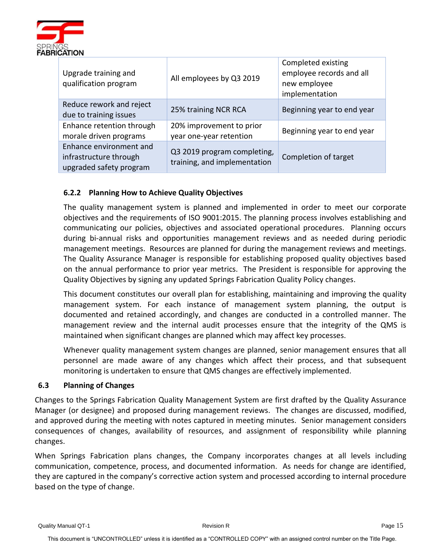

| Upgrade training and<br>qualification program                                | All employees by Q3 2019                                    | Completed existing<br>employee records and all<br>new employee<br>implementation |
|------------------------------------------------------------------------------|-------------------------------------------------------------|----------------------------------------------------------------------------------|
| Reduce rework and reject<br>due to training issues                           | 25% training NCR RCA                                        | Beginning year to end year                                                       |
| Enhance retention through<br>morale driven programs                          | 20% improvement to prior<br>year one-year retention         | Beginning year to end year                                                       |
| Enhance environment and<br>infrastructure through<br>upgraded safety program | Q3 2019 program completing,<br>training, and implementation | Completion of target                                                             |

# <span id="page-14-0"></span>**6.2.2 Planning How to Achieve Quality Objectives**

The quality management system is planned and implemented in order to meet our corporate objectives and the requirements of ISO 9001:2015. The planning process involves establishing and communicating our policies, objectives and associated operational procedures. Planning occurs during bi-annual risks and opportunities management reviews and as needed during periodic management meetings. Resources are planned for during the management reviews and meetings. The Quality Assurance Manager is responsible for establishing proposed quality objectives based on the annual performance to prior year metrics. The President is responsible for approving the Quality Objectives by signing any updated Springs Fabrication Quality Policy changes.

This document constitutes our overall plan for establishing, maintaining and improving the quality management system. For each instance of management system planning, the output is documented and retained accordingly, and changes are conducted in a controlled manner. The management review and the internal audit processes ensure that the integrity of the QMS is maintained when significant changes are planned which may affect key processes.

Whenever quality management system changes are planned, senior management ensures that all personnel are made aware of any changes which affect their process, and that subsequent monitoring is undertaken to ensure that QMS changes are effectively implemented.

# <span id="page-14-1"></span>**6.3 Planning of Changes**

Changes to the Springs Fabrication Quality Management System are first drafted by the Quality Assurance Manager (or designee) and proposed during management reviews. The changes are discussed, modified, and approved during the meeting with notes captured in meeting minutes. Senior management considers consequences of changes, availability of resources, and assignment of responsibility while planning changes.

When Springs Fabrication plans changes, the Company incorporates changes at all levels including communication, competence, process, and documented information. As needs for change are identified, they are captured in the company's corrective action system and processed according to internal procedure based on the type of change.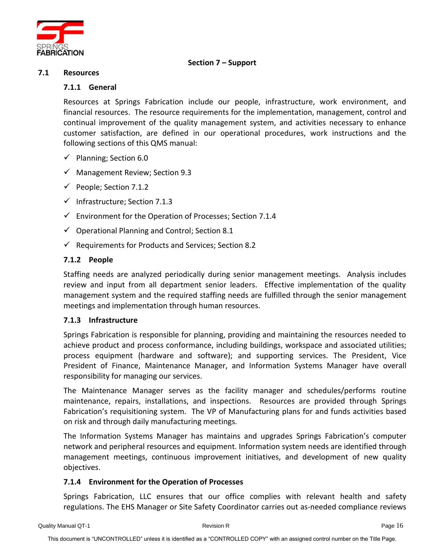

# **Section 7 – Support**

#### <span id="page-15-2"></span><span id="page-15-1"></span><span id="page-15-0"></span>**7.1 Resources**

#### **7.1.1 General**

Resources at Springs Fabrication include our people, infrastructure, work environment, and financial resources. The resource requirements for the implementation, management, control and continual improvement of the quality management system, and activities necessary to enhance customer satisfaction, are defined in our operational procedures, work instructions and the following sections of this QMS manual:

- $\checkmark$  Planning; Section 6.0
- $\checkmark$  Management Review; Section 9.3
- $\checkmark$  People; Section 7.1.2
- ✓ Infrastructure; Section 7.1.3
- $\checkmark$  Environment for the Operation of Processes; Section 7.1.4
- $\checkmark$  Operational Planning and Control; Section 8.1
- $\checkmark$  Requirements for Products and Services; Section 8.2

# <span id="page-15-3"></span>**7.1.2 People**

Staffing needs are analyzed periodically during senior management meetings. Analysis includes review and input from all department senior leaders. Effective implementation of the quality management system and the required staffing needs are fulfilled through the senior management meetings and implementation through human resources.

# <span id="page-15-4"></span>**7.1.3 Infrastructure**

Springs Fabrication is responsible for planning, providing and maintaining the resources needed to achieve product and process conformance, including buildings, workspace and associated utilities; process equipment (hardware and software); and supporting services. The President, Vice President of Finance, Maintenance Manager, and Information Systems Manager have overall responsibility for managing our services.

The Maintenance Manager serves as the facility manager and schedules/performs routine maintenance, repairs, installations, and inspections. Resources are provided through Springs Fabrication's requisitioning system. The VP of Manufacturing plans for and funds activities based on risk and through daily manufacturing meetings.

The Information Systems Manager has maintains and upgrades Springs Fabrication's computer network and peripheral resources and equipment. Information system needs are identified through management meetings, continuous improvement initiatives, and development of new quality objectives.

# <span id="page-15-5"></span>**7.1.4 Environment for the Operation of Processes**

Springs Fabrication, LLC ensures that our office complies with relevant health and safety regulations. The EHS Manager or Site Safety Coordinator carries out as-needed compliance reviews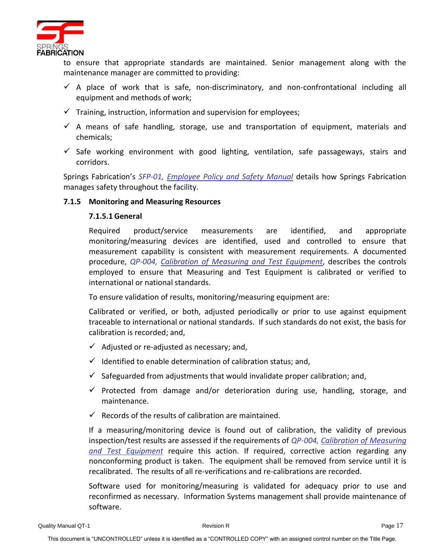

to ensure that appropriate standards are maintained. Senior management along with the maintenance manager are committed to providing:

- $\checkmark$  A place of work that is safe, non-discriminatory, and non-confrontational including all equipment and methods of work;
- $\checkmark$  Training, instruction, information and supervision for employees;
- $\checkmark$  A means of safe handling, storage, use and transportation of equipment, materials and chemicals;
- $\checkmark$  Safe working environment with good lighting, ventilation, safe passageways, stairs and corridors.

Springs Fabrication's *SFP-01, Employee Policy and Safety Manual* details how Springs Fabrication manages safety throughout the facility.

# <span id="page-16-0"></span>**7.1.5 Monitoring and Measuring Resources**

# **7.1.5.1 General**

Required product/service measurements are identified, and appropriate monitoring/measuring devices are identified, used and controlled to ensure that measurement capability is consistent with measurement requirements. A documented procedure, *QP-004, Calibration of Measuring and Test Equipment*, describes the controls employed to ensure that Measuring and Test Equipment is calibrated or verified to international or national standards.

To ensure validation of results, monitoring/measuring equipment are:

Calibrated or verified, or both, adjusted periodically or prior to use against equipment traceable to international or national standards. If such standards do not exist, the basis for calibration is recorded; and,

- $\checkmark$  Adjusted or re-adjusted as necessary; and,
- $\checkmark$  Identified to enable determination of calibration status; and,
- $\checkmark$  Safeguarded from adjustments that would invalidate proper calibration; and,
- $\checkmark$  Protected from damage and/or deterioration during use, handling, storage, and maintenance.
- $\checkmark$  Records of the results of calibration are maintained.

If a measuring/monitoring device is found out of calibration, the validity of previous inspection/test results are assessed if the requirements of *QP-004, Calibration of Measuring and Test Equipment* require this action. If required, corrective action regarding any nonconforming product is taken. The equipment shall be removed from service until it is recalibrated. The results of all re-verifications and re-calibrations are recorded.

Software used for monitoring/measuring is validated for adequacy prior to use and reconfirmed as necessary. Information Systems management shall provide maintenance of software.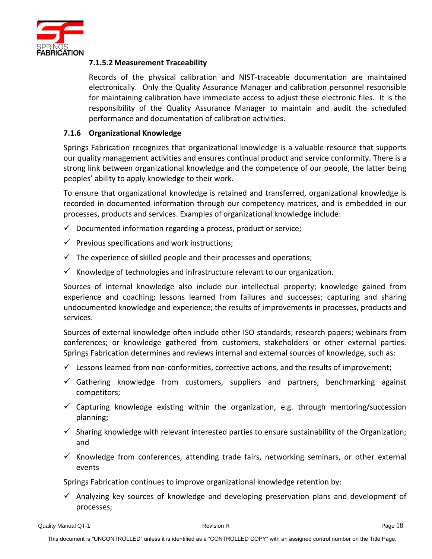

# **7.1.5.2 Measurement Traceability**

Records of the physical calibration and NIST-traceable documentation are maintained electronically. Only the Quality Assurance Manager and calibration personnel responsible for maintaining calibration have immediate access to adjust these electronic files. It is the responsibility of the Quality Assurance Manager to maintain and audit the scheduled performance and documentation of calibration activities.

# <span id="page-17-0"></span>**7.1.6 Organizational Knowledge**

Springs Fabrication recognizes that organizational knowledge is a valuable resource that supports our quality management activities and ensures continual product and service conformity. There is a strong link between organizational knowledge and the competence of our people, the latter being peoples' ability to apply knowledge to their work.

To ensure that organizational knowledge is retained and transferred, organizational knowledge is recorded in documented information through our competency matrices, and is embedded in our processes, products and services. Examples of organizational knowledge include:

- $\checkmark$  Documented information regarding a process, product or service;
- $\checkmark$  Previous specifications and work instructions;
- $\checkmark$  The experience of skilled people and their processes and operations;
- $\checkmark$  Knowledge of technologies and infrastructure relevant to our organization.

Sources of internal knowledge also include our intellectual property; knowledge gained from experience and coaching; lessons learned from failures and successes; capturing and sharing undocumented knowledge and experience; the results of improvements in processes, products and services.

Sources of external knowledge often include other ISO standards; research papers; webinars from conferences; or knowledge gathered from customers, stakeholders or other external parties. Springs Fabrication determines and reviews internal and external sources of knowledge, such as:

- $\checkmark$  Lessons learned from non-conformities, corrective actions, and the results of improvement;
- $\checkmark$  Gathering knowledge from customers, suppliers and partners, benchmarking against competitors;
- $\checkmark$  Capturing knowledge existing within the organization, e.g. through mentoring/succession planning;
- $\checkmark$  Sharing knowledge with relevant interested parties to ensure sustainability of the Organization; and
- $\checkmark$  Knowledge from conferences, attending trade fairs, networking seminars, or other external events

Springs Fabrication continues to improve organizational knowledge retention by:

 $\checkmark$  Analyzing key sources of knowledge and developing preservation plans and development of processes;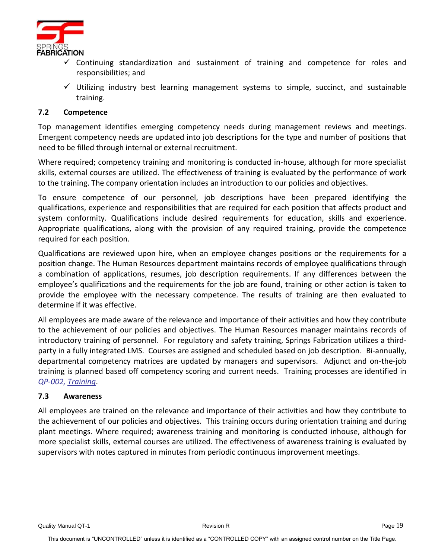

- $\checkmark$  Continuing standardization and sustainment of training and competence for roles and responsibilities; and
- $\checkmark$  Utilizing industry best learning management systems to simple, succinct, and sustainable training.

# <span id="page-18-0"></span>**7.2 Competence**

Top management identifies emerging competency needs during management reviews and meetings. Emergent competency needs are updated into job descriptions for the type and number of positions that need to be filled through internal or external recruitment.

Where required; competency training and monitoring is conducted in-house, although for more specialist skills, external courses are utilized. The effectiveness of training is evaluated by the performance of work to the training. The company orientation includes an introduction to our policies and objectives.

To ensure competence of our personnel, job descriptions have been prepared identifying the qualifications, experience and responsibilities that are required for each position that affects product and system conformity. Qualifications include desired requirements for education, skills and experience. Appropriate qualifications, along with the provision of any required training, provide the competence required for each position.

Qualifications are reviewed upon hire, when an employee changes positions or the requirements for a position change. The Human Resources department maintains records of employee qualifications through a combination of applications, resumes, job description requirements. If any differences between the employee's qualifications and the requirements for the job are found, training or other action is taken to provide the employee with the necessary competence. The results of training are then evaluated to determine if it was effective.

All employees are made aware of the relevance and importance of their activities and how they contribute to the achievement of our policies and objectives. The Human Resources manager maintains records of introductory training of personnel. For regulatory and safety training, Springs Fabrication utilizes a thirdparty in a fully integrated LMS. Courses are assigned and scheduled based on job description. Bi-annually, departmental competency matrices are updated by managers and supervisors. Adjunct and on-the-job training is planned based off competency scoring and current needs. Training processes are identified in *QP-002, Training*.

# <span id="page-18-1"></span>**7.3 Awareness**

All employees are trained on the relevance and importance of their activities and how they contribute to the achievement of our policies and objectives. This training occurs during orientation training and during plant meetings. Where required; awareness training and monitoring is conducted inhouse, although for more specialist skills, external courses are utilized. The effectiveness of awareness training is evaluated by supervisors with notes captured in minutes from periodic continuous improvement meetings.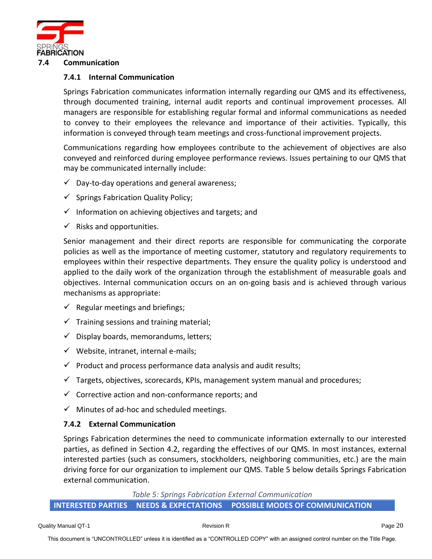

## <span id="page-19-1"></span><span id="page-19-0"></span>**7.4 Communication**

# **7.4.1 Internal Communication**

Springs Fabrication communicates information internally regarding our QMS and its effectiveness, through documented training, internal audit reports and continual improvement processes. All managers are responsible for establishing regular formal and informal communications as needed to convey to their employees the relevance and importance of their activities. Typically, this information is conveyed through team meetings and cross-functional improvement projects.

Communications regarding how employees contribute to the achievement of objectives are also conveyed and reinforced during employee performance reviews. Issues pertaining to our QMS that may be communicated internally include:

- $\checkmark$  Day-to-day operations and general awareness;
- $\checkmark$  Springs Fabrication Quality Policy;
- $\checkmark$  Information on achieving objectives and targets; and
- $\checkmark$  Risks and opportunities.

Senior management and their direct reports are responsible for communicating the corporate policies as well as the importance of meeting customer, statutory and regulatory requirements to employees within their respective departments. They ensure the quality policy is understood and applied to the daily work of the organization through the establishment of measurable goals and objectives. Internal communication occurs on an on-going basis and is achieved through various mechanisms as appropriate:

- $\checkmark$  Regular meetings and briefings;
- $\checkmark$  Training sessions and training material;
- $\checkmark$  Display boards, memorandums, letters;
- $\checkmark$  Website, intranet, internal e-mails;
- $\checkmark$  Product and process performance data analysis and audit results;
- $\checkmark$  Targets, objectives, scorecards, KPIs, management system manual and procedures;
- $\checkmark$  Corrective action and non-conformance reports; and
- $\checkmark$  Minutes of ad-hoc and scheduled meetings.

# <span id="page-19-2"></span>**7.4.2 External Communication**

Springs Fabrication determines the need to communicate information externally to our interested parties, as defined in Section 4.2, regarding the effectives of our QMS. In most instances, external interested parties (such as consumers, stockholders, neighboring communities, etc.) are the main driving force for our organization to implement our QMS. Table 5 below details Springs Fabrication external communication.

*Table 5: Springs Fabrication External Communication*

#### <span id="page-19-3"></span>**INTERESTED PARTIES NEEDS & EXPECTATIONS POSSIBLE MODES OF COMMUNICATION**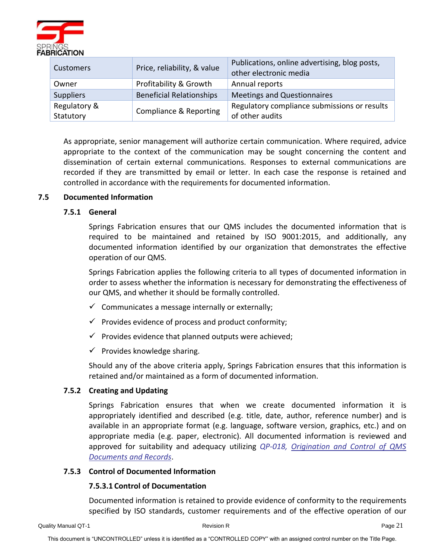

| Customers                 | Price, reliability, & value       | Publications, online advertising, blog posts,<br>other electronic media |
|---------------------------|-----------------------------------|-------------------------------------------------------------------------|
| Owner                     | Profitability & Growth            | Annual reports                                                          |
| <b>Suppliers</b>          | <b>Beneficial Relationships</b>   | Meetings and Questionnaires                                             |
| Regulatory &<br>Statutory | <b>Compliance &amp; Reporting</b> | Regulatory compliance submissions or results<br>of other audits         |

As appropriate, senior management will authorize certain communication. Where required, advice appropriate to the context of the communication may be sought concerning the content and dissemination of certain external communications. Responses to external communications are recorded if they are transmitted by email or letter. In each case the response is retained and controlled in accordance with the requirements for documented information.

# <span id="page-20-1"></span><span id="page-20-0"></span>**7.5 Documented Information**

# **7.5.1 General**

Springs Fabrication ensures that our QMS includes the documented information that is required to be maintained and retained by ISO 9001:2015, and additionally, any documented information identified by our organization that demonstrates the effective operation of our QMS.

Springs Fabrication applies the following criteria to all types of documented information in order to assess whether the information is necessary for demonstrating the effectiveness of our QMS, and whether it should be formally controlled.

- $\checkmark$  Communicates a message internally or externally;
- $\checkmark$  Provides evidence of process and product conformity;
- $\checkmark$  Provides evidence that planned outputs were achieved;
- $\checkmark$  Provides knowledge sharing.

Should any of the above criteria apply, Springs Fabrication ensures that this information is retained and/or maintained as a form of documented information.

# <span id="page-20-2"></span>**7.5.2 Creating and Updating**

Springs Fabrication ensures that when we create documented information it is appropriately identified and described (e.g. title, date, author, reference number) and is available in an appropriate format (e.g. language, software version, graphics, etc.) and on appropriate media (e.g. paper, electronic). All documented information is reviewed and approved for suitability and adequacy utilizing *QP-018, Origination and Control of QMS Documents and Records*.

# <span id="page-20-3"></span>**7.5.3 Control of Documented Information**

# **7.5.3.1 Control of Documentation**

Documented information is retained to provide evidence of conformity to the requirements specified by ISO standards, customer requirements and of the effective operation of our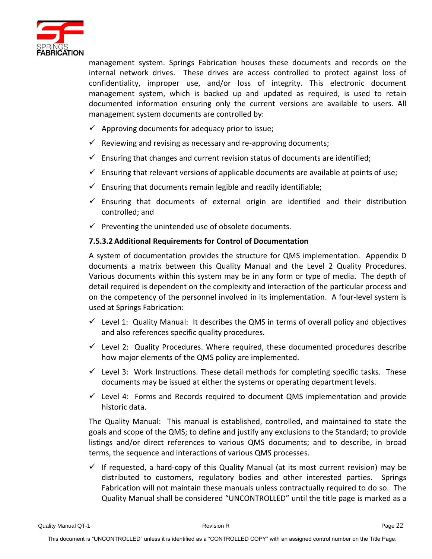

management system. Springs Fabrication houses these documents and records on the internal network drives. These drives are access controlled to protect against loss of confidentiality, improper use, and/or loss of integrity. This electronic document management system, which is backed up and updated as required, is used to retain documented information ensuring only the current versions are available to users. All management system documents are controlled by:

- $\checkmark$  Approving documents for adequacy prior to issue;
- $\checkmark$  Reviewing and revising as necessary and re-approving documents;
- $\checkmark$  Ensuring that changes and current revision status of documents are identified;
- $\checkmark$  Ensuring that relevant versions of applicable documents are available at points of use;
- $\checkmark$  Ensuring that documents remain legible and readily identifiable;
- $\checkmark$  Ensuring that documents of external origin are identified and their distribution controlled; and
- $\checkmark$  Preventing the unintended use of obsolete documents.

# **7.5.3.2 Additional Requirements for Control of Documentation**

A system of documentation provides the structure for QMS implementation. Appendix D documents a matrix between this Quality Manual and the Level 2 Quality Procedures. Various documents within this system may be in any form or type of media. The depth of detail required is dependent on the complexity and interaction of the particular process and on the competency of the personnel involved in its implementation. A four-level system is used at Springs Fabrication:

- $\checkmark$  Level 1: Quality Manual: It describes the QMS in terms of overall policy and objectives and also references specific quality procedures.
- $\checkmark$  Level 2: Quality Procedures. Where required, these documented procedures describe how major elements of the QMS policy are implemented.
- $\checkmark$  Level 3: Work Instructions. These detail methods for completing specific tasks. These documents may be issued at either the systems or operating department levels.
- $\checkmark$  Level 4: Forms and Records required to document QMS implementation and provide historic data.

The Quality Manual: This manual is established, controlled, and maintained to state the goals and scope of the QMS; to define and justify any exclusions to the Standard; to provide listings and/or direct references to various QMS documents; and to describe, in broad terms, the sequence and interactions of various QMS processes.

 $\checkmark$  If requested, a hard-copy of this Quality Manual (at its most current revision) may be distributed to customers, regulatory bodies and other interested parties. Springs Fabrication will not maintain these manuals unless contractually required to do so. The Quality Manual shall be considered "UNCONTROLLED" until the title page is marked as a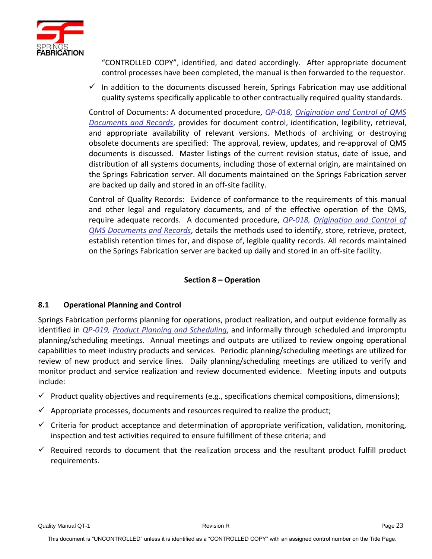

"CONTROLLED COPY", identified, and dated accordingly. After appropriate document control processes have been completed, the manual is then forwarded to the requestor.

 $\checkmark$  In addition to the documents discussed herein, Springs Fabrication may use additional quality systems specifically applicable to other contractually required quality standards.

Control of Documents: A documented procedure, *QP-018, Origination and Control of QMS Documents and Records*, provides for document control, identification, legibility, retrieval, and appropriate availability of relevant versions. Methods of archiving or destroying obsolete documents are specified: The approval, review, updates, and re-approval of QMS documents is discussed. Master listings of the current revision status, date of issue, and distribution of all systems documents, including those of external origin, are maintained on the Springs Fabrication server. All documents maintained on the Springs Fabrication server are backed up daily and stored in an off-site facility.

Control of Quality Records: Evidence of conformance to the requirements of this manual and other legal and regulatory documents, and of the effective operation of the QMS, require adequate records. A documented procedure, *QP-018, Origination and Control of QMS Documents and Records*, details the methods used to identify, store, retrieve, protect, establish retention times for, and dispose of, legible quality records. All records maintained on the Springs Fabrication server are backed up daily and stored in an off-site facility.

# **Section 8 – Operation**

# <span id="page-22-1"></span><span id="page-22-0"></span>**8.1 Operational Planning and Control**

Springs Fabrication performs planning for operations, product realization, and output evidence formally as identified in *QP-019, Product Planning and Scheduling*, and informally through scheduled and impromptu planning/scheduling meetings. Annual meetings and outputs are utilized to review ongoing operational capabilities to meet industry products and services. Periodic planning/scheduling meetings are utilized for review of new product and service lines. Daily planning/scheduling meetings are utilized to verify and monitor product and service realization and review documented evidence. Meeting inputs and outputs include:

- $\checkmark$  Product quality objectives and requirements (e.g., specifications chemical compositions, dimensions);
- $\checkmark$  Appropriate processes, documents and resources required to realize the product;
- $\checkmark$  Criteria for product acceptance and determination of appropriate verification, validation, monitoring, inspection and test activities required to ensure fulfillment of these criteria; and
- $\checkmark$  Required records to document that the realization process and the resultant product fulfill product requirements.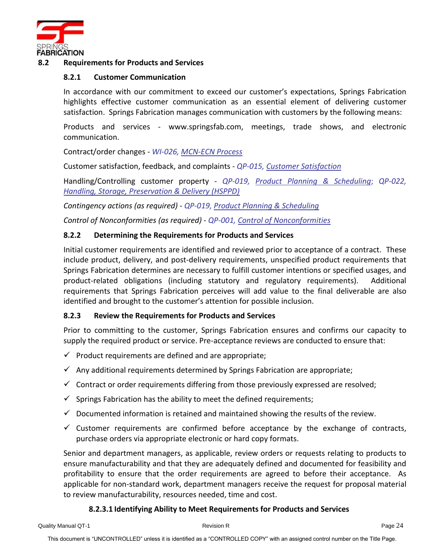

# <span id="page-23-1"></span><span id="page-23-0"></span>**8.2 Requirements for Products and Services**

# **8.2.1 Customer Communication**

In accordance with our commitment to exceed our customer's expectations, Springs Fabrication highlights effective customer communication as an essential element of delivering customer satisfaction. Springs Fabrication manages communication with customers by the following means:

Products and services - www.springsfab.com, meetings, trade shows, and electronic communication.

Contract/order changes - *WI-026, MCN-ECN Process*

Customer satisfaction, feedback, and complaints - *QP-015, Customer Satisfaction*

Handling/Controlling customer property - *QP-019, Product Planning & Scheduling*; *QP-022, Handling, Storage, Preservation & Delivery (HSPPD)*

*Contingency actions (as required)* - *QP-019, Product Planning & Scheduling*

*Control of Nonconformities (as required)* - *QP-001, Control of Nonconformities*

# <span id="page-23-2"></span>**8.2.2 Determining the Requirements for Products and Services**

Initial customer requirements are identified and reviewed prior to acceptance of a contract. These include product, delivery, and post-delivery requirements, unspecified product requirements that Springs Fabrication determines are necessary to fulfill customer intentions or specified usages, and product-related obligations (including statutory and regulatory requirements). Additional requirements that Springs Fabrication perceives will add value to the final deliverable are also identified and brought to the customer's attention for possible inclusion.

# <span id="page-23-3"></span>**8.2.3 Review the Requirements for Products and Services**

Prior to committing to the customer, Springs Fabrication ensures and confirms our capacity to supply the required product or service. Pre-acceptance reviews are conducted to ensure that:

- $\checkmark$  Product requirements are defined and are appropriate;
- $\checkmark$  Any additional requirements determined by Springs Fabrication are appropriate;
- $\checkmark$  Contract or order requirements differing from those previously expressed are resolved;
- $\checkmark$  Springs Fabrication has the ability to meet the defined requirements;
- $\checkmark$  Documented information is retained and maintained showing the results of the review.
- $\checkmark$  Customer requirements are confirmed before acceptance by the exchange of contracts, purchase orders via appropriate electronic or hard copy formats.

Senior and department managers, as applicable, review orders or requests relating to products to ensure manufacturability and that they are adequately defined and documented for feasibility and profitability to ensure that the order requirements are agreed to before their acceptance. As applicable for non-standard work, department managers receive the request for proposal material to review manufacturability, resources needed, time and cost.

# **8.2.3.1 Identifying Ability to Meet Requirements for Products and Services**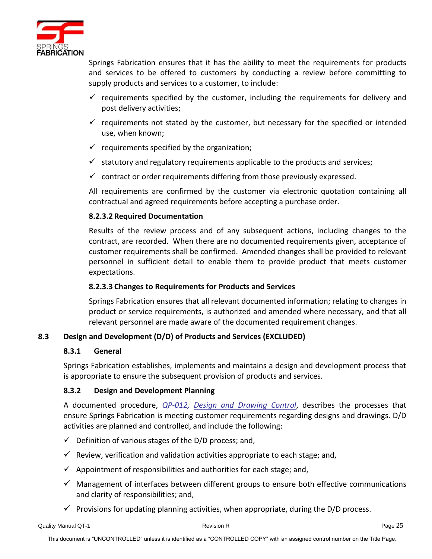

Springs Fabrication ensures that it has the ability to meet the requirements for products and services to be offered to customers by conducting a review before committing to supply products and services to a customer, to include:

- $\checkmark$  requirements specified by the customer, including the requirements for delivery and post delivery activities;
- $\checkmark$  requirements not stated by the customer, but necessary for the specified or intended use, when known;
- $\checkmark$  requirements specified by the organization;
- $\checkmark$  statutory and regulatory requirements applicable to the products and services;
- $\checkmark$  contract or order requirements differing from those previously expressed.

All requirements are confirmed by the customer via electronic quotation containing all contractual and agreed requirements before accepting a purchase order.

# **8.2.3.2 Required Documentation**

Results of the review process and of any subsequent actions, including changes to the contract, are recorded. When there are no documented requirements given, acceptance of customer requirements shall be confirmed. Amended changes shall be provided to relevant personnel in sufficient detail to enable them to provide product that meets customer expectations.

# **8.2.3.3 Changes to Requirements for Products and Services**

Springs Fabrication ensures that all relevant documented information; relating to changes in product or service requirements, is authorized and amended where necessary, and that all relevant personnel are made aware of the documented requirement changes.

# <span id="page-24-1"></span><span id="page-24-0"></span>**8.3 Design and Development (D/D) of Products and Services (EXCLUDED)**

# **8.3.1 General**

Springs Fabrication establishes, implements and maintains a design and development process that is appropriate to ensure the subsequent provision of products and services.

# <span id="page-24-2"></span>**8.3.2 Design and Development Planning**

A documented procedure, *QP-012, Design and Drawing Control*, describes the processes that ensure Springs Fabrication is meeting customer requirements regarding designs and drawings. D/D activities are planned and controlled, and include the following:

- $\checkmark$  Definition of various stages of the D/D process; and,
- $\checkmark$  Review, verification and validation activities appropriate to each stage; and,
- $\checkmark$  Appointment of responsibilities and authorities for each stage; and,
- $\checkmark$  Management of interfaces between different groups to ensure both effective communications and clarity of responsibilities; and,
- $\checkmark$  Provisions for updating planning activities, when appropriate, during the D/D process.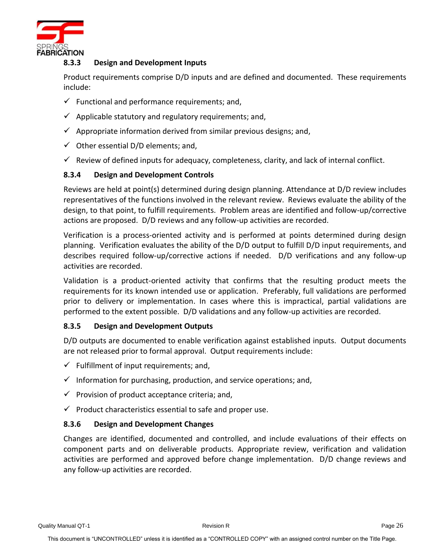

# <span id="page-25-0"></span>**8.3.3 Design and Development Inputs**

Product requirements comprise D/D inputs and are defined and documented. These requirements include:

- $\checkmark$  Functional and performance requirements; and,
- $\checkmark$  Applicable statutory and regulatory requirements; and,
- $\checkmark$  Appropriate information derived from similar previous designs; and,
- $\checkmark$  Other essential D/D elements; and,
- $\checkmark$  Review of defined inputs for adequacy, completeness, clarity, and lack of internal conflict.

# <span id="page-25-1"></span>**8.3.4 Design and Development Controls**

Reviews are held at point(s) determined during design planning. Attendance at D/D review includes representatives of the functions involved in the relevant review. Reviews evaluate the ability of the design, to that point, to fulfill requirements. Problem areas are identified and follow-up/corrective actions are proposed. D/D reviews and any follow-up activities are recorded.

Verification is a process-oriented activity and is performed at points determined during design planning. Verification evaluates the ability of the D/D output to fulfill D/D input requirements, and describes required follow-up/corrective actions if needed. D/D verifications and any follow-up activities are recorded.

Validation is a product-oriented activity that confirms that the resulting product meets the requirements for its known intended use or application. Preferably, full validations are performed prior to delivery or implementation. In cases where this is impractical, partial validations are performed to the extent possible. D/D validations and any follow-up activities are recorded.

# <span id="page-25-2"></span>**8.3.5 Design and Development Outputs**

D/D outputs are documented to enable verification against established inputs. Output documents are not released prior to formal approval. Output requirements include:

- $\checkmark$  Fulfillment of input requirements; and,
- $\checkmark$  Information for purchasing, production, and service operations; and,
- $\checkmark$  Provision of product acceptance criteria; and,
- $\checkmark$  Product characteristics essential to safe and proper use.

# <span id="page-25-3"></span>**8.3.6 Design and Development Changes**

Changes are identified, documented and controlled, and include evaluations of their effects on component parts and on deliverable products. Appropriate review, verification and validation activities are performed and approved before change implementation. D/D change reviews and any follow-up activities are recorded.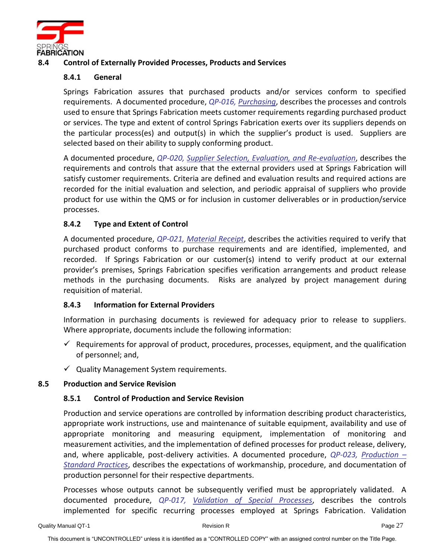

# <span id="page-26-1"></span><span id="page-26-0"></span>**8.4 Control of Externally Provided Processes, Products and Services**

# **8.4.1 General**

Springs Fabrication assures that purchased products and/or services conform to specified requirements. A documented procedure, *QP-016, Purchasing*, describes the processes and controls used to ensure that Springs Fabrication meets customer requirements regarding purchased product or services. The type and extent of control Springs Fabrication exerts over its suppliers depends on the particular process(es) and output(s) in which the supplier's product is used. Suppliers are selected based on their ability to supply conforming product.

A documented procedure, *QP-020, Supplier Selection, Evaluation, and Re-evaluation*, describes the requirements and controls that assure that the external providers used at Springs Fabrication will satisfy customer requirements. Criteria are defined and evaluation results and required actions are recorded for the initial evaluation and selection, and periodic appraisal of suppliers who provide product for use within the QMS or for inclusion in customer deliverables or in production/service processes.

# <span id="page-26-2"></span>**8.4.2 Type and Extent of Control**

A documented procedure, *QP-021, Material Receipt*, describes the activities required to verify that purchased product conforms to purchase requirements and are identified, implemented, and recorded. If Springs Fabrication or our customer(s) intend to verify product at our external provider's premises, Springs Fabrication specifies verification arrangements and product release methods in the purchasing documents. Risks are analyzed by project management during requisition of material.

# <span id="page-26-3"></span>**8.4.3 Information for External Providers**

Information in purchasing documents is reviewed for adequacy prior to release to suppliers. Where appropriate, documents include the following information:

- $\checkmark$  Requirements for approval of product, procedures, processes, equipment, and the qualification of personnel; and,
- $\checkmark$  Quality Management System requirements.

# <span id="page-26-5"></span><span id="page-26-4"></span>**8.5 Production and Service Revision**

# **8.5.1 Control of Production and Service Revision**

Production and service operations are controlled by information describing product characteristics, appropriate work instructions, use and maintenance of suitable equipment, availability and use of appropriate monitoring and measuring equipment, implementation of monitoring and measurement activities, and the implementation of defined processes for product release, delivery, and, where applicable, post-delivery activities. A documented procedure, *QP-023, Production – Standard Practices*, describes the expectations of workmanship, procedure, and documentation of production personnel for their respective departments.

Processes whose outputs cannot be subsequently verified must be appropriately validated. A documented procedure, *QP-017, Validation of Special Processes*, describes the controls implemented for specific recurring processes employed at Springs Fabrication. Validation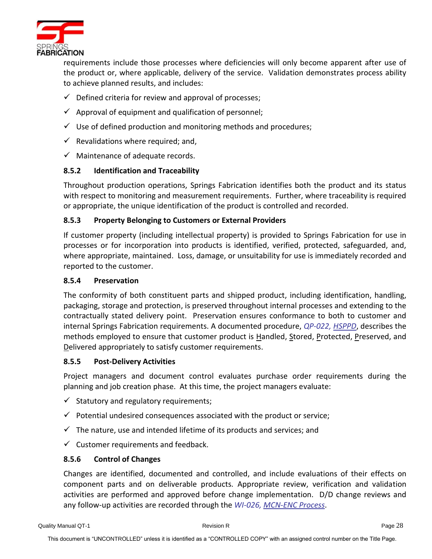

requirements include those processes where deficiencies will only become apparent after use of the product or, where applicable, delivery of the service. Validation demonstrates process ability to achieve planned results, and includes:

- $\checkmark$  Defined criteria for review and approval of processes;
- $\checkmark$  Approval of equipment and qualification of personnel;
- $\checkmark$  Use of defined production and monitoring methods and procedures;
- $\checkmark$  Revalidations where required; and,
- $\checkmark$  Maintenance of adequate records.

# <span id="page-27-0"></span>**8.5.2 Identification and Traceability**

Throughout production operations, Springs Fabrication identifies both the product and its status with respect to monitoring and measurement requirements. Further, where traceability is required or appropriate, the unique identification of the product is controlled and recorded.

# <span id="page-27-1"></span>**8.5.3 Property Belonging to Customers or External Providers**

If customer property (including intellectual property) is provided to Springs Fabrication for use in processes or for incorporation into products is identified, verified, protected, safeguarded, and, where appropriate, maintained. Loss, damage, or unsuitability for use is immediately recorded and reported to the customer.

# <span id="page-27-2"></span>**8.5.4 Preservation**

The conformity of both constituent parts and shipped product, including identification, handling, packaging, storage and protection, is preserved throughout internal processes and extending to the contractually stated delivery point. Preservation ensures conformance to both to customer and internal Springs Fabrication requirements. A documented procedure, *QP-022, HSPPD*, describes the methods employed to ensure that customer product is Handled, Stored, Protected, Preserved, and Delivered appropriately to satisfy customer requirements.

# <span id="page-27-3"></span>**8.5.5 Post-Delivery Activities**

Project managers and document control evaluates purchase order requirements during the planning and job creation phase. At this time, the project managers evaluate:

- $\checkmark$  Statutory and regulatory requirements;
- $\checkmark$  Potential undesired consequences associated with the product or service;
- $\checkmark$  The nature, use and intended lifetime of its products and services; and
- $\checkmark$  Customer requirements and feedback.

# <span id="page-27-4"></span>**8.5.6 Control of Changes**

Changes are identified, documented and controlled, and include evaluations of their effects on component parts and on deliverable products. Appropriate review, verification and validation activities are performed and approved before change implementation. D/D change reviews and any follow-up activities are recorded through the *WI-026, MCN-ENC Process*.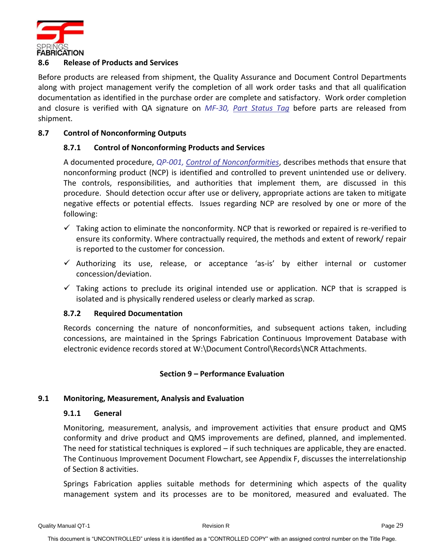

# <span id="page-28-0"></span>**8.6 Release of Products and Services**

Before products are released from shipment, the Quality Assurance and Document Control Departments along with project management verify the completion of all work order tasks and that all qualification documentation as identified in the purchase order are complete and satisfactory. Work order completion and closure is verified with QA signature on *MF-30, Part Status Tag* before parts are released from shipment.

# <span id="page-28-2"></span><span id="page-28-1"></span>**8.7 Control of Nonconforming Outputs**

# **8.7.1 Control of Nonconforming Products and Services**

A documented procedure, *QP-001, Control of Nonconformities*, describes methods that ensure that nonconforming product (NCP) is identified and controlled to prevent unintended use or delivery. The controls, responsibilities, and authorities that implement them, are discussed in this procedure. Should detection occur after use or delivery, appropriate actions are taken to mitigate negative effects or potential effects. Issues regarding NCP are resolved by one or more of the following:

- $\checkmark$  Taking action to eliminate the nonconformity. NCP that is reworked or repaired is re-verified to ensure its conformity. Where contractually required, the methods and extent of rework/ repair is reported to the customer for concession.
- $\checkmark$  Authorizing its use, release, or acceptance 'as-is' by either internal or customer concession/deviation.
- $\checkmark$  Taking actions to preclude its original intended use or application. NCP that is scrapped is isolated and is physically rendered useless or clearly marked as scrap.

# <span id="page-28-3"></span>**8.7.2 Required Documentation**

Records concerning the nature of nonconformities, and subsequent actions taken, including concessions, are maintained in the Springs Fabrication Continuous Improvement Database with electronic evidence records stored at W:\Document Control\Records\NCR Attachments.

# **Section 9 – Performance Evaluation**

# <span id="page-28-6"></span><span id="page-28-5"></span><span id="page-28-4"></span>**9.1 Monitoring, Measurement, Analysis and Evaluation**

# **9.1.1 General**

Monitoring, measurement, analysis, and improvement activities that ensure product and QMS conformity and drive product and QMS improvements are defined, planned, and implemented. The need for statistical techniques is explored – if such techniques are applicable, they are enacted. The Continuous Improvement Document Flowchart, see Appendix F, discusses the interrelationship of Section 8 activities.

Springs Fabrication applies suitable methods for determining which aspects of the quality management system and its processes are to be monitored, measured and evaluated. The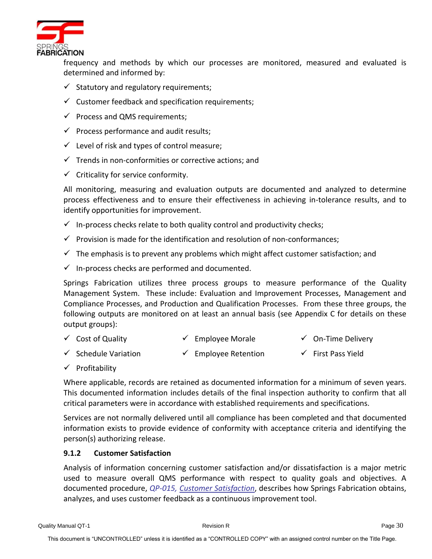

frequency and methods by which our processes are monitored, measured and evaluated is determined and informed by:

- $\checkmark$  Statutory and regulatory requirements;
- $\checkmark$  Customer feedback and specification requirements;
- $\checkmark$  Process and QMS requirements;
- $\checkmark$  Process performance and audit results;
- $\checkmark$  Level of risk and types of control measure;
- $\checkmark$  Trends in non-conformities or corrective actions: and
- $\checkmark$  Criticality for service conformity.

All monitoring, measuring and evaluation outputs are documented and analyzed to determine process effectiveness and to ensure their effectiveness in achieving in-tolerance results, and to identify opportunities for improvement.

- $\checkmark$  In-process checks relate to both quality control and productivity checks;
- $\checkmark$  Provision is made for the identification and resolution of non-conformances;
- $\checkmark$  The emphasis is to prevent any problems which might affect customer satisfaction; and
- $\checkmark$  In-process checks are performed and documented.

Springs Fabrication utilizes three process groups to measure performance of the Quality Management System. These include: Evaluation and Improvement Processes, Management and Compliance Processes, and Production and Qualification Processes. From these three groups, the following outputs are monitored on at least an annual basis (see Appendix C for details on these output groups):

- ✓ Cost of Quality ✓ Employee Morale ✓ On-Time Delivery
- ✓ Schedule Variation ✓ Employee Retention ✓ First Pass Yield
- ✓ Profitability

Where applicable, records are retained as documented information for a minimum of seven years. This documented information includes details of the final inspection authority to confirm that all critical parameters were in accordance with established requirements and specifications.

Services are not normally delivered until all compliance has been completed and that documented information exists to provide evidence of conformity with acceptance criteria and identifying the person(s) authorizing release.

# <span id="page-29-0"></span>**9.1.2 Customer Satisfaction**

Analysis of information concerning customer satisfaction and/or dissatisfaction is a major metric used to measure overall QMS performance with respect to quality goals and objectives. A documented procedure, *QP-015, Customer Satisfaction*, describes how Springs Fabrication obtains, analyzes, and uses customer feedback as a continuous improvement tool.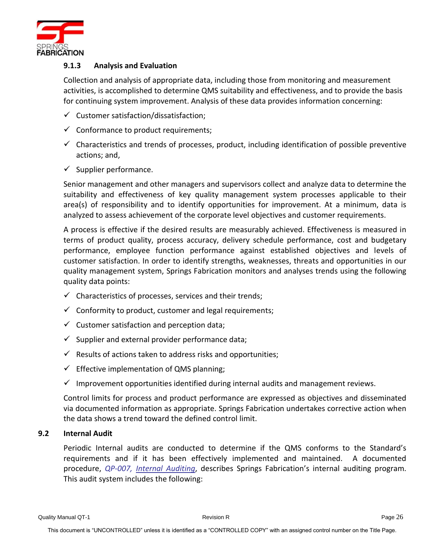

# <span id="page-30-0"></span>**9.1.3 Analysis and Evaluation**

Collection and analysis of appropriate data, including those from monitoring and measurement activities, is accomplished to determine QMS suitability and effectiveness, and to provide the basis for continuing system improvement. Analysis of these data provides information concerning:

- $\checkmark$  Customer satisfaction/dissatisfaction;
- $\checkmark$  Conformance to product requirements;
- $\checkmark$  Characteristics and trends of processes, product, including identification of possible preventive actions; and,
- $\checkmark$  Supplier performance.

Senior management and other managers and supervisors collect and analyze data to determine the suitability and effectiveness of key quality management system processes applicable to their area(s) of responsibility and to identify opportunities for improvement. At a minimum, data is analyzed to assess achievement of the corporate level objectives and customer requirements.

A process is effective if the desired results are measurably achieved. Effectiveness is measured in terms of product quality, process accuracy, delivery schedule performance, cost and budgetary performance, employee function performance against established objectives and levels of customer satisfaction. In order to identify strengths, weaknesses, threats and opportunities in our quality management system, Springs Fabrication monitors and analyses trends using the following quality data points:

- $\checkmark$  Characteristics of processes, services and their trends;
- $\checkmark$  Conformity to product, customer and legal requirements;
- $\checkmark$  Customer satisfaction and perception data;
- $\checkmark$  Supplier and external provider performance data;
- $\checkmark$  Results of actions taken to address risks and opportunities;
- $\checkmark$  Effective implementation of QMS planning;
- $\checkmark$  Improvement opportunities identified during internal audits and management reviews.

Control limits for process and product performance are expressed as objectives and disseminated via documented information as appropriate. Springs Fabrication undertakes corrective action when the data shows a trend toward the defined control limit.

#### <span id="page-30-1"></span>**9.2 Internal Audit**

Periodic Internal audits are conducted to determine if the QMS conforms to the Standard's requirements and if it has been effectively implemented and maintained. A documented procedure, *QP-007, Internal Auditing*, describes Springs Fabrication's internal auditing program. This audit system includes the following: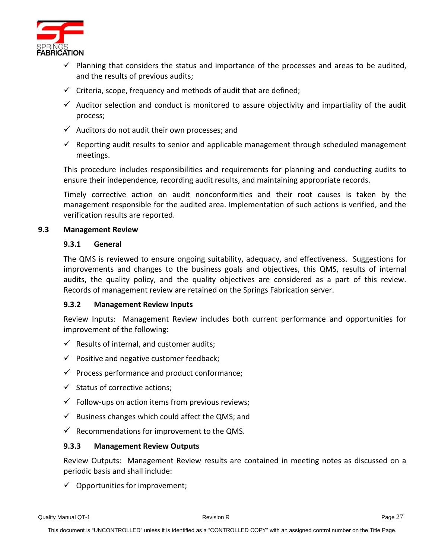

- $\checkmark$  Planning that considers the status and importance of the processes and areas to be audited, and the results of previous audits;
- $\checkmark$  Criteria, scope, frequency and methods of audit that are defined;
- $\checkmark$  Auditor selection and conduct is monitored to assure objectivity and impartiality of the audit process;
- $\checkmark$  Auditors do not audit their own processes; and
- $\checkmark$  Reporting audit results to senior and applicable management through scheduled management meetings.

This procedure includes responsibilities and requirements for planning and conducting audits to ensure their independence, recording audit results, and maintaining appropriate records.

Timely corrective action on audit nonconformities and their root causes is taken by the management responsible for the audited area. Implementation of such actions is verified, and the verification results are reported.

#### <span id="page-31-1"></span><span id="page-31-0"></span>**9.3 Management Review**

#### **9.3.1 General**

The QMS is reviewed to ensure ongoing suitability, adequacy, and effectiveness. Suggestions for improvements and changes to the business goals and objectives, this QMS, results of internal audits, the quality policy, and the quality objectives are considered as a part of this review. Records of management review are retained on the Springs Fabrication server.

# <span id="page-31-2"></span>**9.3.2 Management Review Inputs**

Review Inputs: Management Review includes both current performance and opportunities for improvement of the following:

- $\checkmark$  Results of internal, and customer audits;
- $\checkmark$  Positive and negative customer feedback;
- $\checkmark$  Process performance and product conformance;
- $\checkmark$  Status of corrective actions;
- $\checkmark$  Follow-ups on action items from previous reviews;
- $\checkmark$  Business changes which could affect the QMS; and
- $\checkmark$  Recommendations for improvement to the QMS.

# <span id="page-31-3"></span>**9.3.3 Management Review Outputs**

Review Outputs: Management Review results are contained in meeting notes as discussed on a periodic basis and shall include:

 $\checkmark$  Opportunities for improvement;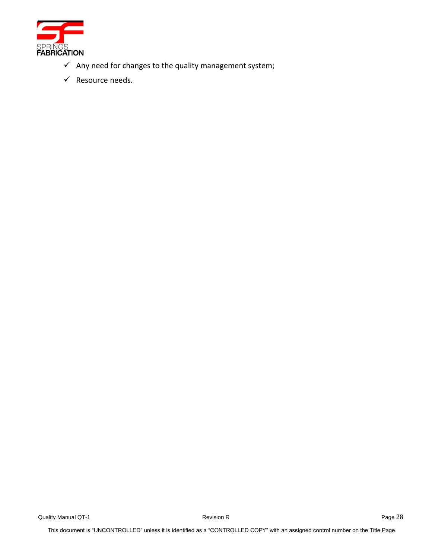

- $\checkmark$  Any need for changes to the quality management system;
- ✓ Resource needs.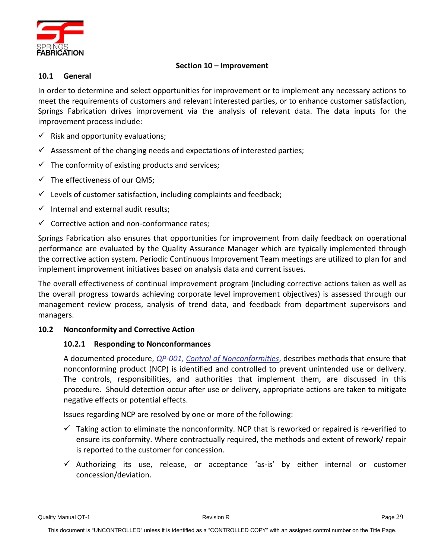

# **Section 10 – Improvement**

# <span id="page-33-1"></span><span id="page-33-0"></span>**10.1 General**

In order to determine and select opportunities for improvement or to implement any necessary actions to meet the requirements of customers and relevant interested parties, or to enhance customer satisfaction, Springs Fabrication drives improvement via the analysis of relevant data. The data inputs for the improvement process include:

- $\checkmark$  Risk and opportunity evaluations;
- $\checkmark$  Assessment of the changing needs and expectations of interested parties;
- $\checkmark$  The conformity of existing products and services;
- $\checkmark$  The effectiveness of our QMS:
- $\checkmark$  Levels of customer satisfaction, including complaints and feedback;
- $\checkmark$  Internal and external audit results;
- $\checkmark$  Corrective action and non-conformance rates;

Springs Fabrication also ensures that opportunities for improvement from daily feedback on operational performance are evaluated by the Quality Assurance Manager which are typically implemented through the corrective action system. Periodic Continuous Improvement Team meetings are utilized to plan for and implement improvement initiatives based on analysis data and current issues.

The overall effectiveness of continual improvement program (including corrective actions taken as well as the overall progress towards achieving corporate level improvement objectives) is assessed through our management review process, analysis of trend data, and feedback from department supervisors and managers.

# <span id="page-33-3"></span><span id="page-33-2"></span>**10.2 Nonconformity and Corrective Action**

# **10.2.1 Responding to Nonconformances**

A documented procedure, *QP-001, Control of Nonconformities*, describes methods that ensure that nonconforming product (NCP) is identified and controlled to prevent unintended use or delivery. The controls, responsibilities, and authorities that implement them, are discussed in this procedure. Should detection occur after use or delivery, appropriate actions are taken to mitigate negative effects or potential effects.

Issues regarding NCP are resolved by one or more of the following:

- $\checkmark$  Taking action to eliminate the nonconformity. NCP that is reworked or repaired is re-verified to ensure its conformity. Where contractually required, the methods and extent of rework/ repair is reported to the customer for concession.
- $\checkmark$  Authorizing its use, release, or acceptance 'as-is' by either internal or customer concession/deviation.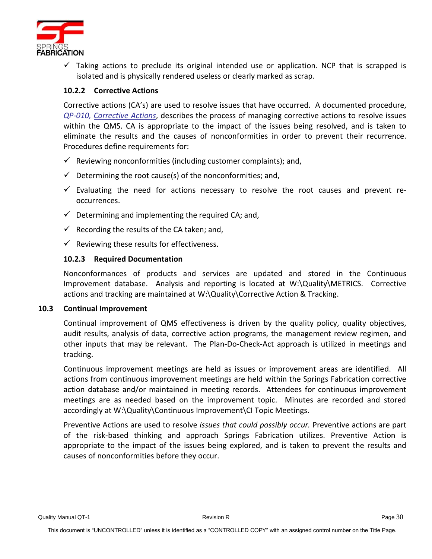

 $\checkmark$  Taking actions to preclude its original intended use or application. NCP that is scrapped is isolated and is physically rendered useless or clearly marked as scrap.

# <span id="page-34-0"></span>**10.2.2 Corrective Actions**

Corrective actions (CA's) are used to resolve issues that have occurred. A documented procedure, *QP-010, Corrective Actions*, describes the process of managing corrective actions to resolve issues within the QMS. CA is appropriate to the impact of the issues being resolved, and is taken to eliminate the results and the causes of nonconformities in order to prevent their recurrence. Procedures define requirements for:

- $\checkmark$  Reviewing nonconformities (including customer complaints); and,
- $\checkmark$  Determining the root cause(s) of the nonconformities; and,
- $\checkmark$  Evaluating the need for actions necessary to resolve the root causes and prevent reoccurrences.
- $\checkmark$  Determining and implementing the required CA; and,
- $\checkmark$  Recording the results of the CA taken; and,
- $\checkmark$  Reviewing these results for effectiveness.

# <span id="page-34-1"></span>**10.2.3 Required Documentation**

Nonconformances of products and services are updated and stored in the Continuous Improvement database. Analysis and reporting is located at W:\Quality\METRICS. Corrective actions and tracking are maintained at W:\Quality\Corrective Action & Tracking.

#### <span id="page-34-2"></span>**10.3 Continual Improvement**

Continual improvement of QMS effectiveness is driven by the quality policy, quality objectives, audit results, analysis of data, corrective action programs, the management review regimen, and other inputs that may be relevant. The Plan-Do-Check-Act approach is utilized in meetings and tracking.

Continuous improvement meetings are held as issues or improvement areas are identified. All actions from continuous improvement meetings are held within the Springs Fabrication corrective action database and/or maintained in meeting records. Attendees for continuous improvement meetings are as needed based on the improvement topic. Minutes are recorded and stored accordingly at W:\Quality\Continuous Improvement\CI Topic Meetings.

Preventive Actions are used to resolve *issues that could possibly occur.* Preventive actions are part of the risk-based thinking and approach Springs Fabrication utilizes. Preventive Action is appropriate to the impact of the issues being explored, and is taken to prevent the results and causes of nonconformities before they occur.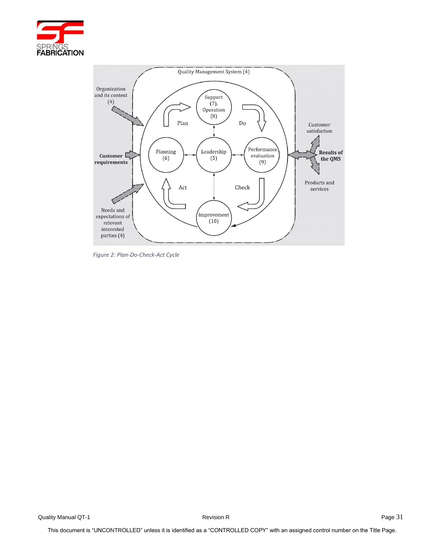

<span id="page-35-0"></span>

*Figure 2: Plan-Do-Check-Act Cycle*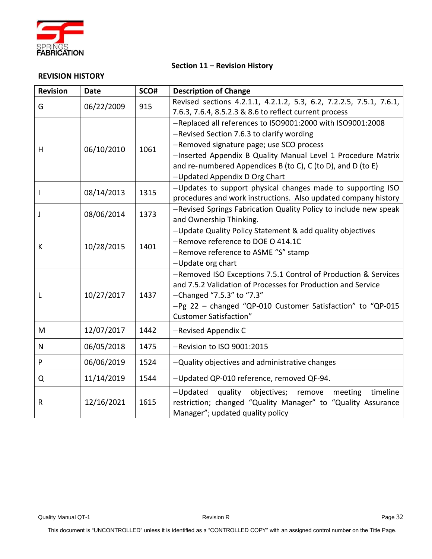

#### **Section 11 – Revision History**

#### **REVISION HISTORY**

| <b>Revision</b> | <b>Date</b> | SCO# | <b>Description of Change</b>                                        |  |  |  |  |  |  |  |  |  |  |
|-----------------|-------------|------|---------------------------------------------------------------------|--|--|--|--|--|--|--|--|--|--|
| G               | 06/22/2009  | 915  | Revised sections 4.2.1.1, 4.2.1.2, 5.3, 6.2, 7.2.2.5, 7.5.1, 7.6.1, |  |  |  |  |  |  |  |  |  |  |
|                 |             |      | 7.6.3, 7.6.4, 8.5.2.3 & 8.6 to reflect current process              |  |  |  |  |  |  |  |  |  |  |
|                 |             |      | -Replaced all references to ISO9001:2000 with ISO9001:2008          |  |  |  |  |  |  |  |  |  |  |
| H               | 06/10/2010  | 1061 | -Revised Section 7.6.3 to clarify wording                           |  |  |  |  |  |  |  |  |  |  |
|                 |             |      | -Removed signature page; use SCO process                            |  |  |  |  |  |  |  |  |  |  |
|                 |             |      | -Inserted Appendix B Quality Manual Level 1 Procedure Matrix        |  |  |  |  |  |  |  |  |  |  |
|                 |             |      | and re-numbered Appendices B (to C), C (to D), and D (to E)         |  |  |  |  |  |  |  |  |  |  |
|                 |             |      | -Updated Appendix D Org Chart                                       |  |  |  |  |  |  |  |  |  |  |
| L               | 08/14/2013  | 1315 | -Updates to support physical changes made to supporting ISO         |  |  |  |  |  |  |  |  |  |  |
|                 |             |      | procedures and work instructions. Also updated company history      |  |  |  |  |  |  |  |  |  |  |
| J               | 08/06/2014  | 1373 | -Revised Springs Fabrication Quality Policy to include new speak    |  |  |  |  |  |  |  |  |  |  |
|                 |             |      | and Ownership Thinking.                                             |  |  |  |  |  |  |  |  |  |  |
|                 | 10/28/2015  | 1401 | -Update Quality Policy Statement & add quality objectives           |  |  |  |  |  |  |  |  |  |  |
| К               |             |      | -Remove reference to DOE O 414.1C                                   |  |  |  |  |  |  |  |  |  |  |
|                 |             |      | -Remove reference to ASME "S" stamp                                 |  |  |  |  |  |  |  |  |  |  |
|                 |             |      | -Update org chart                                                   |  |  |  |  |  |  |  |  |  |  |
| L               |             | 1437 | -Removed ISO Exceptions 7.5.1 Control of Production & Services      |  |  |  |  |  |  |  |  |  |  |
|                 | 10/27/2017  |      | and 7.5.2 Validation of Processes for Production and Service        |  |  |  |  |  |  |  |  |  |  |
|                 |             |      | -Changed "7.5.3" to "7.3"                                           |  |  |  |  |  |  |  |  |  |  |
|                 |             |      | -Pg 22 - changed "QP-010 Customer Satisfaction" to "QP-015          |  |  |  |  |  |  |  |  |  |  |
|                 |             |      | <b>Customer Satisfaction"</b>                                       |  |  |  |  |  |  |  |  |  |  |
| M               | 12/07/2017  | 1442 | -Revised Appendix C                                                 |  |  |  |  |  |  |  |  |  |  |
| N               | 06/05/2018  | 1475 | -Revision to ISO 9001:2015                                          |  |  |  |  |  |  |  |  |  |  |
| P               | 06/06/2019  | 1524 | -Quality objectives and administrative changes                      |  |  |  |  |  |  |  |  |  |  |
| Q               | 11/14/2019  | 1544 | -Updated QP-010 reference, removed QF-94.                           |  |  |  |  |  |  |  |  |  |  |
|                 |             |      | quality<br>objectives;<br>timeline<br>-Updated<br>meeting<br>remove |  |  |  |  |  |  |  |  |  |  |
| $\mathsf R$     | 12/16/2021  | 1615 | restriction; changed "Quality Manager" to "Quality Assurance        |  |  |  |  |  |  |  |  |  |  |
|                 |             |      | Manager"; updated quality policy                                    |  |  |  |  |  |  |  |  |  |  |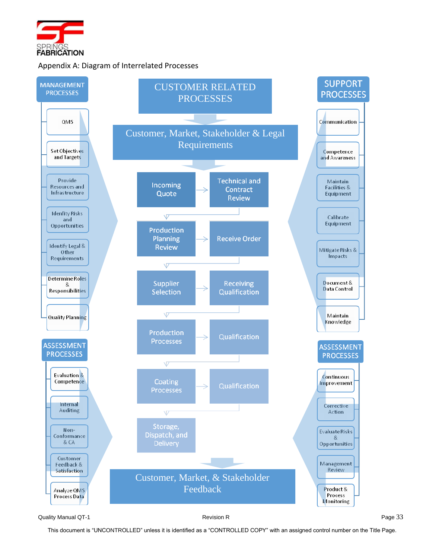

# Appendix A: Diagram of Interrelated Processes



Quality Manual QT-1 **Page 33** Revision R Page 34 Revision R

This document is "UNCONTROLLED" unless it is identified as a "CONTROLLED COPY" with an assigned control number on the Title Page.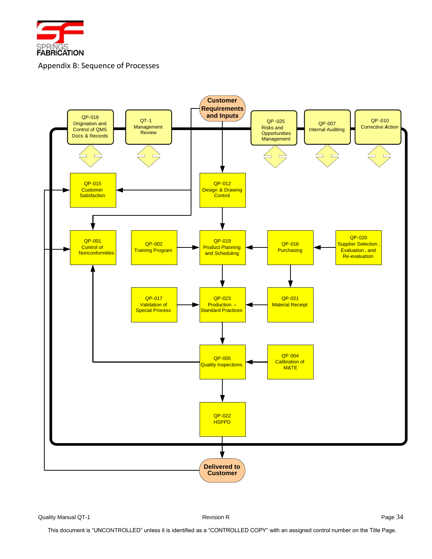

Appendix B: Sequence of Processes

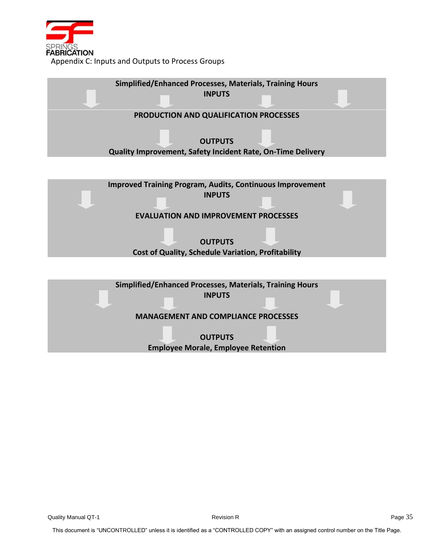

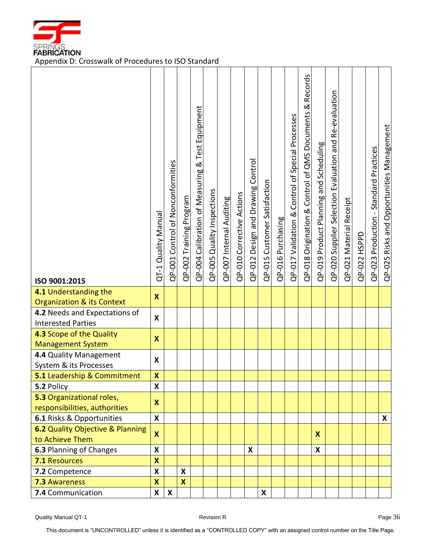

FABRICATION<br>Appendix D: Crosswalk of Procedures to ISO Standard

| ISO 9001:2015                                                  | QT-1 Quality Manual       | QP-001 Control of Nonconformities | QP-002 Training Program   | <b>Test Equipment</b><br>QP-004 Calibration of Measuring & | QP-005 Quality Inspections | QP-007 Internal Auditing | QP-010 Corrective Actions | QP-012 Design and Drawing Control | QP-015 Customer Satisfaction | QP-016 Purchasing | QP-017 Validation & Control of Special Processes | Records<br>ಡ<br>QP-018 Origination & Control of QMS Documents | QP-019 Product Planning and Scheduling | and Re-evaluation<br>QP-020 Supplier Selection Evaluation | QP-021 Material Receipt | QP-022 HSPPD | QP-023 Production - Standard Practices | QP-025 Risks and Opportunities Management |
|----------------------------------------------------------------|---------------------------|-----------------------------------|---------------------------|------------------------------------------------------------|----------------------------|--------------------------|---------------------------|-----------------------------------|------------------------------|-------------------|--------------------------------------------------|---------------------------------------------------------------|----------------------------------------|-----------------------------------------------------------|-------------------------|--------------|----------------------------------------|-------------------------------------------|
| 4.1 Understanding the<br><b>Organization &amp; its Context</b> | $\boldsymbol{\mathsf{X}}$ |                                   |                           |                                                            |                            |                          |                           |                                   |                              |                   |                                                  |                                                               |                                        |                                                           |                         |              |                                        |                                           |
| 4.2 Needs and Expectations of                                  | X                         |                                   |                           |                                                            |                            |                          |                           |                                   |                              |                   |                                                  |                                                               |                                        |                                                           |                         |              |                                        |                                           |
| <b>Interested Parties</b>                                      |                           |                                   |                           |                                                            |                            |                          |                           |                                   |                              |                   |                                                  |                                                               |                                        |                                                           |                         |              |                                        |                                           |
| 4.3 Scope of the Quality<br><b>Management System</b>           |                           |                                   |                           |                                                            |                            |                          |                           |                                   |                              |                   |                                                  |                                                               |                                        |                                                           |                         |              |                                        |                                           |
|                                                                |                           |                                   |                           |                                                            |                            |                          |                           |                                   |                              |                   |                                                  |                                                               |                                        |                                                           |                         |              |                                        |                                           |
| 4.4 Quality Management                                         |                           |                                   |                           |                                                            |                            |                          |                           |                                   |                              |                   |                                                  |                                                               |                                        |                                                           |                         |              |                                        |                                           |
| System & its Processes<br>5.1 Leadership & Commitment          | $\pmb{\mathsf{X}}$        |                                   |                           |                                                            |                            |                          |                           |                                   |                              |                   |                                                  |                                                               |                                        |                                                           |                         |              |                                        |                                           |
| 5.2 Policy                                                     | $\mathsf{\overline{X}}$   |                                   |                           |                                                            |                            |                          |                           |                                   |                              |                   |                                                  |                                                               |                                        |                                                           |                         |              |                                        |                                           |
| 5.3 Organizational roles,                                      |                           |                                   |                           |                                                            |                            |                          |                           |                                   |                              |                   |                                                  |                                                               |                                        |                                                           |                         |              |                                        |                                           |
| responsibilities, authorities                                  | X                         |                                   |                           |                                                            |                            |                          |                           |                                   |                              |                   |                                                  |                                                               |                                        |                                                           |                         |              |                                        |                                           |
| 6.1 Risks & Opportunities                                      | X                         |                                   |                           |                                                            |                            |                          |                           |                                   |                              |                   |                                                  |                                                               |                                        |                                                           |                         |              |                                        | X                                         |
| 6.2 Quality Objective & Planning                               |                           |                                   |                           |                                                            |                            |                          |                           |                                   |                              |                   |                                                  |                                                               |                                        |                                                           |                         |              |                                        |                                           |
| to Achieve Them                                                | $\boldsymbol{\mathsf{X}}$ |                                   |                           |                                                            |                            |                          |                           |                                   |                              |                   |                                                  |                                                               | $\boldsymbol{\mathsf{x}}$              |                                                           |                         |              |                                        |                                           |
| 6.3 Planning of Changes                                        | $\boldsymbol{\mathsf{x}}$ |                                   |                           |                                                            |                            |                          |                           | X                                 |                              |                   |                                                  |                                                               | X                                      |                                                           |                         |              |                                        |                                           |
| 7.1 Resources                                                  | $\boldsymbol{\mathsf{x}}$ |                                   |                           |                                                            |                            |                          |                           |                                   |                              |                   |                                                  |                                                               |                                        |                                                           |                         |              |                                        |                                           |
| 7.2 Competence                                                 | X                         |                                   | X                         |                                                            |                            |                          |                           |                                   |                              |                   |                                                  |                                                               |                                        |                                                           |                         |              |                                        |                                           |
| <b>7.3 Awareness</b>                                           | $\boldsymbol{\mathsf{X}}$ |                                   | $\boldsymbol{\mathsf{x}}$ |                                                            |                            |                          |                           |                                   |                              |                   |                                                  |                                                               |                                        |                                                           |                         |              |                                        |                                           |
| 7.4 Communication                                              | X                         | $\boldsymbol{\mathsf{X}}$         |                           |                                                            |                            |                          |                           |                                   | X                            |                   |                                                  |                                                               |                                        |                                                           |                         |              |                                        |                                           |

Quality Manual QT-1 **Page 36** Revision R Revision R

This document is "UNCONTROLLED" unless it is identified as a "CONTROLLED COPY" with an assigned control number on the Title Page.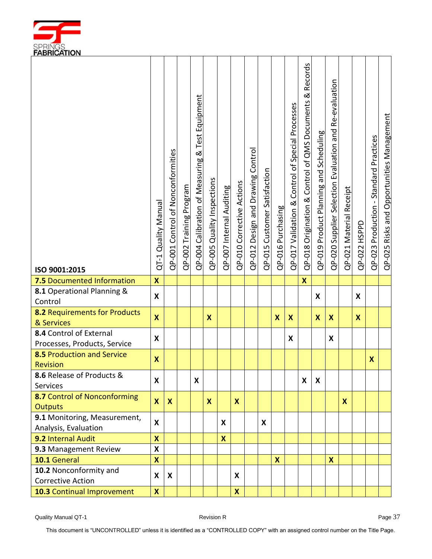

| ISO 9001:2015                                           | QT-1 Quality Manual       | QP-001 Control of Nonconformities | QP-002 Training Program | <b>Test Equipment</b><br>QP-004 Calibration of Measuring & | QP-005 Quality Inspections | QP-007 Internal Auditing | QP-010 Corrective Actions | QP-012 Design and Drawing Control | QP-015 Customer Satisfaction | QP-016 Purchasing | QP-017 Validation & Control of Special Processes | Records<br>∞<br>QP-018 Origination & Control of QMS Documents | QP-019 Product Planning and Scheduling | QP-020 Supplier Selection Evaluation and Re-evaluation | QP-021 Material Receipt | QP-022 HSPPD | QP-023 Production - Standard Practices | QP-025 Risks and Opportunities Management |
|---------------------------------------------------------|---------------------------|-----------------------------------|-------------------------|------------------------------------------------------------|----------------------------|--------------------------|---------------------------|-----------------------------------|------------------------------|-------------------|--------------------------------------------------|---------------------------------------------------------------|----------------------------------------|--------------------------------------------------------|-------------------------|--------------|----------------------------------------|-------------------------------------------|
| 7.5 Documented Information                              | $\boldsymbol{\mathsf{X}}$ |                                   |                         |                                                            |                            |                          |                           |                                   |                              |                   |                                                  | $\boldsymbol{\mathsf{x}}$                                     |                                        |                                                        |                         |              |                                        |                                           |
| 8.1 Operational Planning &                              | X                         |                                   |                         |                                                            |                            |                          |                           |                                   |                              |                   |                                                  |                                                               | X                                      |                                                        |                         | X            |                                        |                                           |
| Control                                                 |                           |                                   |                         |                                                            |                            |                          |                           |                                   |                              |                   |                                                  |                                                               |                                        |                                                        |                         |              |                                        |                                           |
| 8.2 Requirements for Products<br>& Services             | $\boldsymbol{x}$          |                                   |                         |                                                            | $\boldsymbol{\mathsf{x}}$  |                          |                           |                                   |                              | $\boldsymbol{X}$  | $\mathbf{x}$                                     |                                                               | X                                      | $\boldsymbol{\mathsf{x}}$                              |                         | $\mathbf x$  |                                        |                                           |
| 8.4 Control of External<br>Processes, Products, Service | X                         |                                   |                         |                                                            |                            |                          |                           |                                   |                              |                   | X                                                |                                                               |                                        | X                                                      |                         |              |                                        |                                           |
| 8.5 Production and Service<br>Revision                  | $\boldsymbol{\mathsf{x}}$ |                                   |                         |                                                            |                            |                          |                           |                                   |                              |                   |                                                  |                                                               |                                        |                                                        |                         |              | $\mathbf x$                            |                                           |
| 8.6 Release of Products &<br>Services                   | X                         |                                   |                         | X                                                          |                            |                          |                           |                                   |                              |                   |                                                  | X                                                             | X                                      |                                                        |                         |              |                                        |                                           |
| 8.7 Control of Nonconforming                            |                           |                                   |                         |                                                            |                            |                          |                           |                                   |                              |                   |                                                  |                                                               |                                        |                                                        |                         |              |                                        |                                           |
| <b>Outputs</b>                                          | $\boldsymbol{X}$          | $\boldsymbol{X}$                  |                         |                                                            | $\boldsymbol{x}$           |                          | X                         |                                   |                              |                   |                                                  |                                                               |                                        |                                                        | $\mathbf{x}$            |              |                                        |                                           |
| 9.1 Monitoring, Measurement,                            | X                         |                                   |                         |                                                            |                            | X                        |                           |                                   | X                            |                   |                                                  |                                                               |                                        |                                                        |                         |              |                                        |                                           |
| Analysis, Evaluation                                    |                           |                                   |                         |                                                            |                            |                          |                           |                                   |                              |                   |                                                  |                                                               |                                        |                                                        |                         |              |                                        |                                           |
| 9.2 Internal Audit                                      | $\mathbf x$               |                                   |                         |                                                            |                            | X                        |                           |                                   |                              |                   |                                                  |                                                               |                                        |                                                        |                         |              |                                        |                                           |
| 9.3 Management Review                                   | $\boldsymbol{\mathsf{x}}$ |                                   |                         |                                                            |                            |                          |                           |                                   |                              |                   |                                                  |                                                               |                                        |                                                        |                         |              |                                        |                                           |
| 10.1 General                                            | $\overline{\mathbf{X}}$   |                                   |                         |                                                            |                            |                          |                           |                                   |                              | $\boldsymbol{x}$  |                                                  |                                                               |                                        | $\boldsymbol{\mathsf{x}}$                              |                         |              |                                        |                                           |
| 10.2 Nonconformity and                                  | X                         | X                                 |                         |                                                            |                            |                          | X                         |                                   |                              |                   |                                                  |                                                               |                                        |                                                        |                         |              |                                        |                                           |
| <b>Corrective Action</b>                                | $\pmb{\mathsf{x}}$        |                                   |                         |                                                            |                            |                          |                           |                                   |                              |                   |                                                  |                                                               |                                        |                                                        |                         |              |                                        |                                           |
| 10.3 Continual Improvement                              |                           |                                   |                         |                                                            |                            |                          | $\boldsymbol{\mathsf{X}}$ |                                   |                              |                   |                                                  |                                                               |                                        |                                                        |                         |              |                                        |                                           |

This document is "UNCONTROLLED" unless it is identified as a "CONTROLLED COPY" with an assigned control number on the Title Page.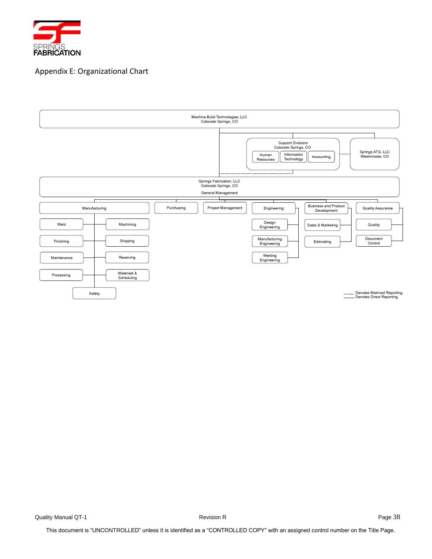

# Appendix E: Organizational Chart